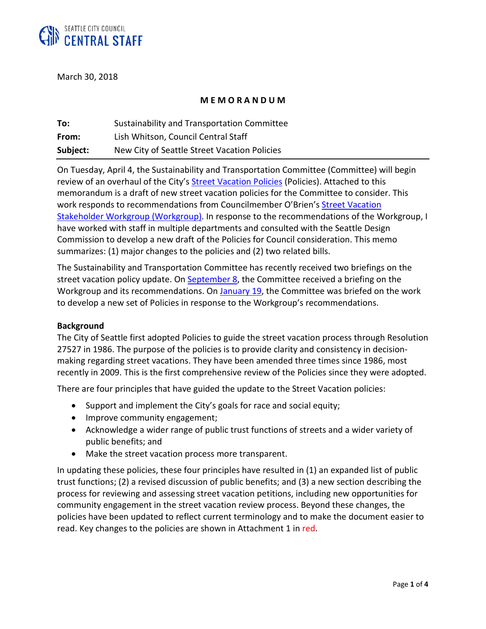

March 30, 2018

#### **M E M O R A N D U M**

| To:      | Sustainability and Transportation Committee  |
|----------|----------------------------------------------|
| From:    | Lish Whitson, Council Central Staff          |
| Subject: | New City of Seattle Street Vacation Policies |

On Tuesday, April 4, the Sustainability and Transportation Committee (Committee) will begin review of an overhaul of the City's [Street Vacation Policies](http://clerk.seattle.gov/%7Escripts/nph-brs.exe?s1=&s2=&s3=310078&s4=&Sect4=AND&l=20&Sect2=THESON&Sect3=PLURON&Sect5=CFCF1&Sect6=HITOFF&d=CFCF&p=1&u=/%7Epublic/cfcf1.htm&r=1&f=G) (Policies). Attached to this memorandum is a draft of new street vacation policies for the Committee to consider. This work responds to recommendations from Councilmember O'Brien's Street Vacation [Stakeholder Workgroup](http://www.seattle.gov/council/meet-the-council/mike-obrien/street-vacation-stakeholder-workgroup) (Workgroup). In response to the recommendations of the Workgroup, I have worked with staff in multiple departments and consulted with the Seattle Design Commission to develop a new draft of the Policies for Council consideration. This memo summarizes: (1) major changes to the policies and (2) two related bills.

The Sustainability and Transportation Committee has recently received two briefings on the street vacation policy update. On [September 8,](http://seattle.legistar.com/View.ashx?M=A&ID=563376&GUID=5DB3D7FA-56B9-454B-AE0D-656A00AB65E2) the Committee received a briefing on the Workgroup and its recommendations. On [January 19,](http://seattle.legistar.com/gateway.aspx?M=F&ID=0fb10217-873c-473b-8e27-07f49cdb132b.pdf) the Committee was briefed on the work to develop a new set of Policies in response to the Workgroup's recommendations.

#### **Background**

The City of Seattle first adopted Policies to guide the street vacation process through Resolution 27527 in 1986. The purpose of the policies is to provide clarity and consistency in decisionmaking regarding street vacations. They have been amended three times since 1986, most recently in 2009. This is the first comprehensive review of the Policies since they were adopted.

There are four principles that have guided the update to the Street Vacation policies:

- Support and implement the City's goals for race and social equity;
- Improve community engagement;
- Acknowledge a wider range of public trust functions of streets and a wider variety of public benefits; and
- Make the street vacation process more transparent.

In updating these policies, these four principles have resulted in (1) an expanded list of public trust functions; (2) a revised discussion of public benefits; and (3) a new section describing the process for reviewing and assessing street vacation petitions, including new opportunities for community engagement in the street vacation review process. Beyond these changes, the policies have been updated to reflect current terminology and to make the document easier to read. Key changes to the policies are shown in Attachment 1 in red.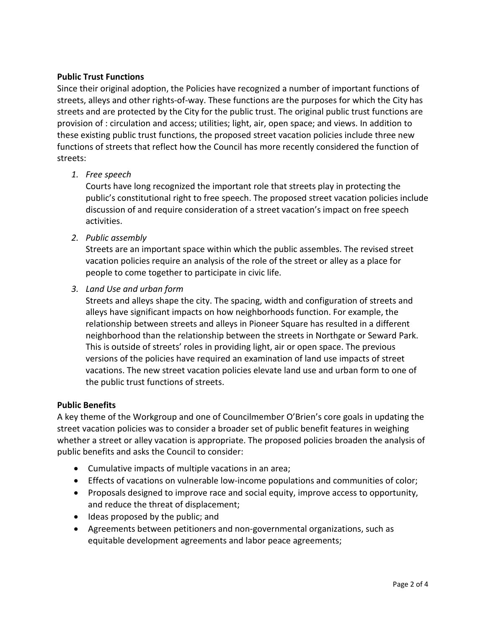#### **Public Trust Functions**

Since their original adoption, the Policies have recognized a number of important functions of streets, alleys and other rights-of-way. These functions are the purposes for which the City has streets and are protected by the City for the public trust. The original public trust functions are provision of : circulation and access; utilities; light, air, open space; and views. In addition to these existing public trust functions, the proposed street vacation policies include three new functions of streets that reflect how the Council has more recently considered the function of streets:

#### *1. Free speech*

Courts have long recognized the important role that streets play in protecting the public's constitutional right to free speech. The proposed street vacation policies include discussion of and require consideration of a street vacation's impact on free speech activities.

*2. Public assembly*

Streets are an important space within which the public assembles. The revised street vacation policies require an analysis of the role of the street or alley as a place for people to come together to participate in civic life.

*3. Land Use and urban form*

Streets and alleys shape the city. The spacing, width and configuration of streets and alleys have significant impacts on how neighborhoods function. For example, the relationship between streets and alleys in Pioneer Square has resulted in a different neighborhood than the relationship between the streets in Northgate or Seward Park. This is outside of streets' roles in providing light, air or open space. The previous versions of the policies have required an examination of land use impacts of street vacations. The new street vacation policies elevate land use and urban form to one of the public trust functions of streets.

#### **Public Benefits**

A key theme of the Workgroup and one of Councilmember O'Brien's core goals in updating the street vacation policies was to consider a broader set of public benefit features in weighing whether a street or alley vacation is appropriate. The proposed policies broaden the analysis of public benefits and asks the Council to consider:

- Cumulative impacts of multiple vacations in an area;
- Effects of vacations on vulnerable low-income populations and communities of color;
- Proposals designed to improve race and social equity, improve access to opportunity, and reduce the threat of displacement;
- Ideas proposed by the public; and
- Agreements between petitioners and non-governmental organizations, such as equitable development agreements and labor peace agreements;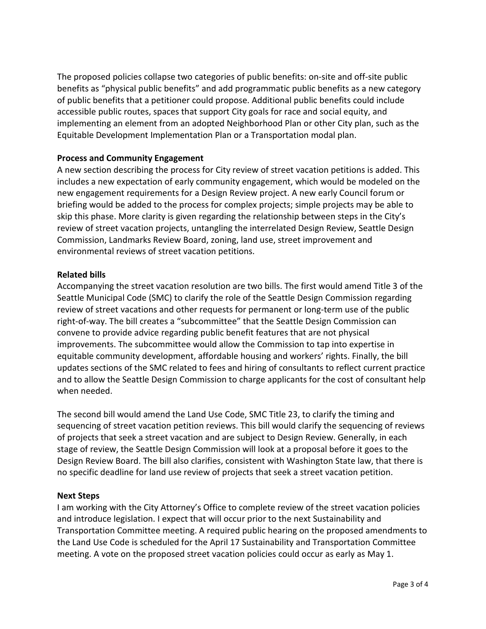The proposed policies collapse two categories of public benefits: on-site and off-site public benefits as "physical public benefits" and add programmatic public benefits as a new category of public benefits that a petitioner could propose. Additional public benefits could include accessible public routes, spaces that support City goals for race and social equity, and implementing an element from an adopted Neighborhood Plan or other City plan, such as the Equitable Development Implementation Plan or a Transportation modal plan.

#### **Process and Community Engagement**

A new section describing the process for City review of street vacation petitions is added. This includes a new expectation of early community engagement, which would be modeled on the new engagement requirements for a Design Review project. A new early Council forum or briefing would be added to the process for complex projects; simple projects may be able to skip this phase. More clarity is given regarding the relationship between steps in the City's review of street vacation projects, untangling the interrelated Design Review, Seattle Design Commission, Landmarks Review Board, zoning, land use, street improvement and environmental reviews of street vacation petitions.

#### **Related bills**

Accompanying the street vacation resolution are two bills. The first would amend Title 3 of the Seattle Municipal Code (SMC) to clarify the role of the Seattle Design Commission regarding review of street vacations and other requests for permanent or long-term use of the public right-of-way. The bill creates a "subcommittee" that the Seattle Design Commission can convene to provide advice regarding public benefit features that are not physical improvements. The subcommittee would allow the Commission to tap into expertise in equitable community development, affordable housing and workers' rights. Finally, the bill updates sections of the SMC related to fees and hiring of consultants to reflect current practice and to allow the Seattle Design Commission to charge applicants for the cost of consultant help when needed.

The second bill would amend the Land Use Code, SMC Title 23, to clarify the timing and sequencing of street vacation petition reviews. This bill would clarify the sequencing of reviews of projects that seek a street vacation and are subject to Design Review. Generally, in each stage of review, the Seattle Design Commission will look at a proposal before it goes to the Design Review Board. The bill also clarifies, consistent with Washington State law, that there is no specific deadline for land use review of projects that seek a street vacation petition.

#### **Next Steps**

I am working with the City Attorney's Office to complete review of the street vacation policies and introduce legislation. I expect that will occur prior to the next Sustainability and Transportation Committee meeting. A required public hearing on the proposed amendments to the Land Use Code is scheduled for the April 17 Sustainability and Transportation Committee meeting. A vote on the proposed street vacation policies could occur as early as May 1.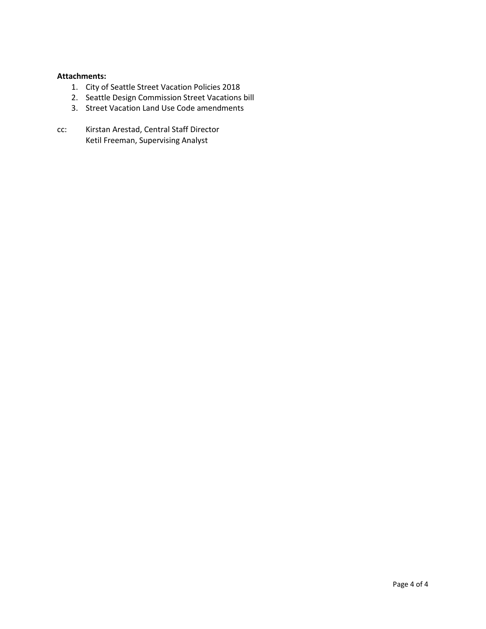#### **Attachments:**

- 1. City of Seattle Street Vacation Policies 2018
- 2. Seattle Design Commission Street Vacations bill
- 3. Street Vacation Land Use Code amendments
- cc: Kirstan Arestad, Central Staff Director Ketil Freeman, Supervising Analyst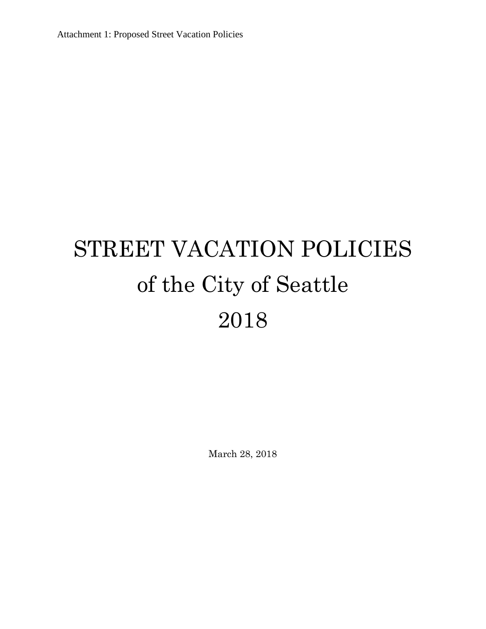Attachment 1: Proposed Street Vacation Policies

# STREET VACATION POLICIES of the City of Seattle 2018

March 28, 2018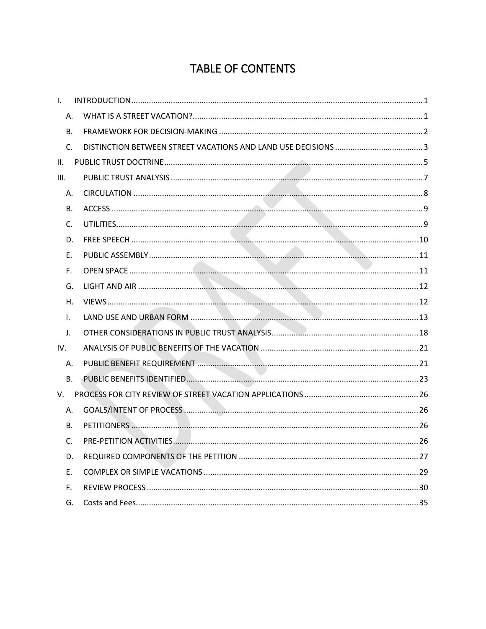# TABLE OF CONTENTS

| $\mathbf{L}$ |                |  |
|--------------|----------------|--|
|              | Α.             |  |
|              | <b>B.</b>      |  |
|              | $C_{1}$        |  |
| II.          |                |  |
| III.         |                |  |
|              | А.             |  |
|              | В.             |  |
|              | $\mathsf{C}$ . |  |
|              | D.             |  |
|              | Ε.             |  |
|              | F.             |  |
|              | G.             |  |
|              | Η.             |  |
| Τ.           |                |  |
| J.           |                |  |
| IV.          |                |  |
|              | А.             |  |
|              | <b>B.</b>      |  |
| V.           |                |  |
|              | Α.             |  |
|              | B <sub>r</sub> |  |
|              | C.             |  |
|              | D.             |  |
|              | Е.             |  |
| F.           |                |  |
|              | G.             |  |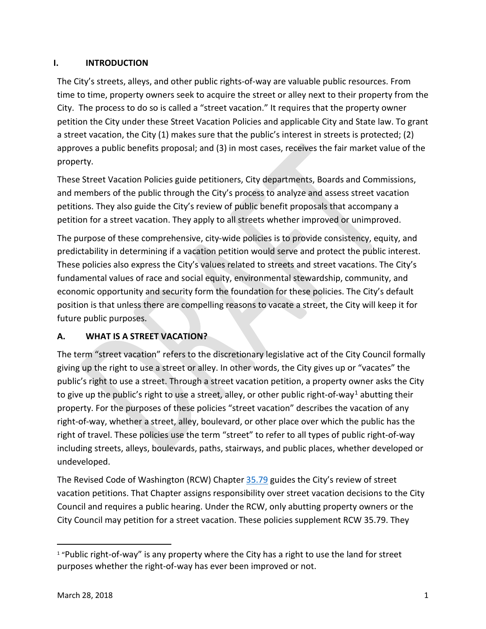# <span id="page-6-0"></span>**I. INTRODUCTION**

The City's streets, alleys, and other public rights-of-way are valuable public resources. From time to time, property owners seek to acquire the street or alley next to their property from the City. The process to do so is called a "street vacation." It requires that the property owner petition the City under these Street Vacation Policies and applicable City and State law. To grant a street vacation, the City (1) makes sure that the public's interest in streets is protected; (2) approves a public benefits proposal; and (3) in most cases, receives the fair market value of the property.

These Street Vacation Policies guide petitioners, City departments, Boards and Commissions, and members of the public through the City's process to analyze and assess street vacation petitions. They also guide the City's review of public benefit proposals that accompany a petition for a street vacation. They apply to all streets whether improved or unimproved.

The purpose of these comprehensive, city-wide policies is to provide consistency, equity, and predictability in determining if a vacation petition would serve and protect the public interest. These policies also express the City's values related to streets and street vacations. The City's fundamental values of race and social equity, environmental stewardship, community, and economic opportunity and security form the foundation for these policies. The City's default position is that unless there are compelling reasons to vacate a street, the City will keep it for future public purposes.

# <span id="page-6-1"></span>**A. WHAT IS A STREET VACATION?**

The term "street vacation" refers to the discretionary legislative act of the City Council formally giving up the right to use a street or alley. In other words, the City gives up or "vacates" the public's right to use a street. Through a street vacation petition, a property owner asks the City to give up the public's right to use a street, alley, or other public right-of-way<sup>[1](#page-6-2)</sup> abutting their property. For the purposes of these policies "street vacation" describes the vacation of any right-of-way, whether a street, alley, boulevard, or other place over which the public has the right of travel. These policies use the term "street" to refer to all types of public right-of-way including streets, alleys, boulevards, paths, stairways, and public places, whether developed or undeveloped.

The Revised Code of Washington (RCW) Chapter [35.79](http://app.leg.wa.gov/rcw/default.aspx?cite=35.79) guides the City's review of street vacation petitions. That Chapter assigns responsibility over street vacation decisions to the City Council and requires a public hearing. Under the RCW, only abutting property owners or the City Council may petition for a street vacation. These policies supplement RCW 35.79. They

<span id="page-6-2"></span><sup>&</sup>lt;sup>1</sup> "Public right-of-way" is any property where the City has a right to use the land for street purposes whether the right-of-way has ever been improved or not.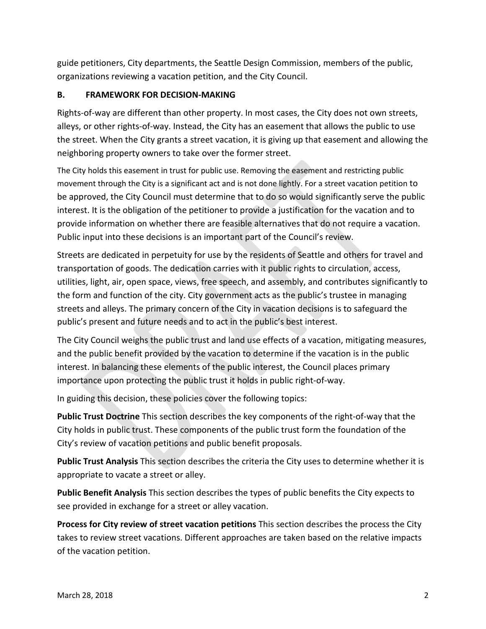guide petitioners, City departments, the Seattle Design Commission, members of the public, organizations reviewing a vacation petition, and the City Council.

#### <span id="page-7-0"></span>**B. FRAMEWORK FOR DECISION-MAKING**

Rights-of-way are different than other property. In most cases, the City does not own streets, alleys, or other rights-of-way. Instead, the City has an easement that allows the public to use the street. When the City grants a street vacation, it is giving up that easement and allowing the neighboring property owners to take over the former street.

The City holds this easement in trust for public use. Removing the easement and restricting public movement through the City is a significant act and is not done lightly. For a street vacation petition to be approved, the City Council must determine that to do so would significantly serve the public interest. It is the obligation of the petitioner to provide a justification for the vacation and to provide information on whether there are feasible alternatives that do not require a vacation. Public input into these decisions is an important part of the Council's review.

Streets are dedicated in perpetuity for use by the residents of Seattle and others for travel and transportation of goods. The dedication carries with it public rights to circulation, access, utilities, light, air, open space, views, free speech, and assembly, and contributes significantly to the form and function of the city. City government acts as the public's trustee in managing streets and alleys. The primary concern of the City in vacation decisions is to safeguard the public's present and future needs and to act in the public's best interest.

The City Council weighs the public trust and land use effects of a vacation, mitigating measures, and the public benefit provided by the vacation to determine if the vacation is in the public interest. In balancing these elements of the public interest, the Council places primary importance upon protecting the public trust it holds in public right-of-way.

In guiding this decision, these policies cover the following topics:

**Public Trust Doctrine** This section describes the key components of the right-of-way that the City holds in public trust. These components of the public trust form the foundation of the City's review of vacation petitions and public benefit proposals.

**Public Trust Analysis** This section describes the criteria the City uses to determine whether it is appropriate to vacate a street or alley.

**Public Benefit Analysis** This section describes the types of public benefits the City expects to see provided in exchange for a street or alley vacation.

**Process for City review of street vacation petitions** This section describes the process the City takes to review street vacations. Different approaches are taken based on the relative impacts of the vacation petition.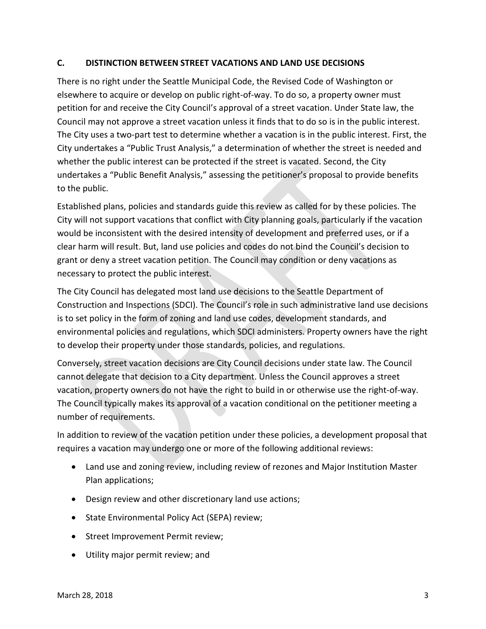#### <span id="page-8-0"></span>**C. DISTINCTION BETWEEN STREET VACATIONS AND LAND USE DECISIONS**

There is no right under the Seattle Municipal Code, the Revised Code of Washington or elsewhere to acquire or develop on public right-of-way. To do so, a property owner must petition for and receive the City Council's approval of a street vacation. Under State law, the Council may not approve a street vacation unless it finds that to do so is in the public interest. The City uses a two-part test to determine whether a vacation is in the public interest. First, the City undertakes a "Public Trust Analysis," a determination of whether the street is needed and whether the public interest can be protected if the street is vacated. Second, the City undertakes a "Public Benefit Analysis," assessing the petitioner's proposal to provide benefits to the public.

Established plans, policies and standards guide this review as called for by these policies. The City will not support vacations that conflict with City planning goals, particularly if the vacation would be inconsistent with the desired intensity of development and preferred uses, or if a clear harm will result. But, land use policies and codes do not bind the Council's decision to grant or deny a street vacation petition. The Council may condition or deny vacations as necessary to protect the public interest.

The City Council has delegated most land use decisions to the Seattle Department of Construction and Inspections (SDCI). The Council's role in such administrative land use decisions is to set policy in the form of zoning and land use codes, development standards, and environmental policies and regulations, which SDCI administers. Property owners have the right to develop their property under those standards, policies, and regulations.

Conversely, street vacation decisions are City Council decisions under state law. The Council cannot delegate that decision to a City department. Unless the Council approves a street vacation, property owners do not have the right to build in or otherwise use the right-of-way. The Council typically makes its approval of a vacation conditional on the petitioner meeting a number of requirements.

In addition to review of the vacation petition under these policies, a development proposal that requires a vacation may undergo one or more of the following additional reviews:

- Land use and zoning review, including review of rezones and Major Institution Master Plan applications;
- Design review and other discretionary land use actions;
- State Environmental Policy Act (SEPA) review;
- Street Improvement Permit review;
- Utility major permit review; and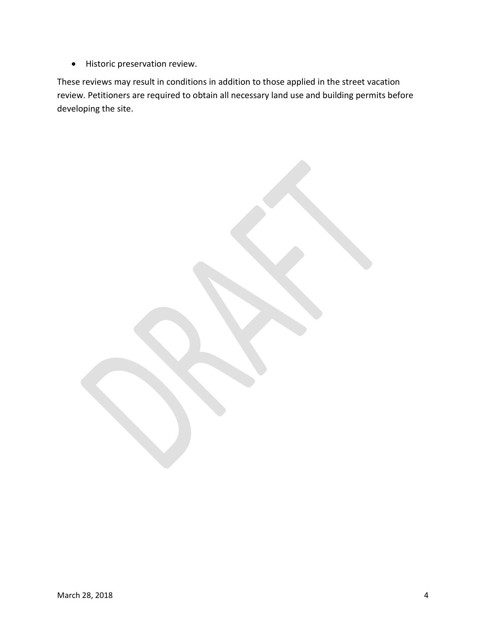• Historic preservation review.

These reviews may result in conditions in addition to those applied in the street vacation review. Petitioners are required to obtain all necessary land use and building permits before developing the site.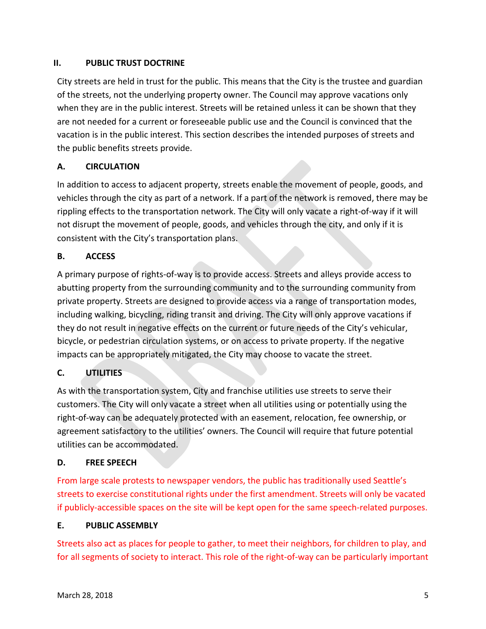# <span id="page-10-0"></span>**II. PUBLIC TRUST DOCTRINE**

City streets are held in trust for the public. This means that the City is the trustee and guardian of the streets, not the underlying property owner. The Council may approve vacations only when they are in the public interest. Streets will be retained unless it can be shown that they are not needed for a current or foreseeable public use and the Council is convinced that the vacation is in the public interest. This section describes the intended purposes of streets and the public benefits streets provide.

# **A. CIRCULATION**

In addition to access to adjacent property, streets enable the movement of people, goods, and vehicles through the city as part of a network. If a part of the network is removed, there may be rippling effects to the transportation network. The City will only vacate a right-of-way if it will not disrupt the movement of people, goods, and vehicles through the city, and only if it is consistent with the City's transportation plans.

# **B. ACCESS**

A primary purpose of rights-of-way is to provide access. Streets and alleys provide access to abutting property from the surrounding community and to the surrounding community from private property. Streets are designed to provide access via a range of transportation modes, including walking, bicycling, riding transit and driving. The City will only approve vacations if they do not result in negative effects on the current or future needs of the City's vehicular, bicycle, or pedestrian circulation systems, or on access to private property. If the negative impacts can be appropriately mitigated, the City may choose to vacate the street.

# **C. UTILITIES**

As with the transportation system, City and franchise utilities use streets to serve their customers. The City will only vacate a street when all utilities using or potentially using the right-of-way can be adequately protected with an easement, relocation, fee ownership, or agreement satisfactory to the utilities' owners. The Council will require that future potential utilities can be accommodated.

# **D. FREE SPEECH**

From large scale protests to newspaper vendors, the public has traditionally used Seattle's streets to exercise constitutional rights under the first amendment. Streets will only be vacated if publicly-accessible spaces on the site will be kept open for the same speech-related purposes.

# **E. PUBLIC ASSEMBLY**

Streets also act as places for people to gather, to meet their neighbors, for children to play, and for all segments of society to interact. This role of the right-of-way can be particularly important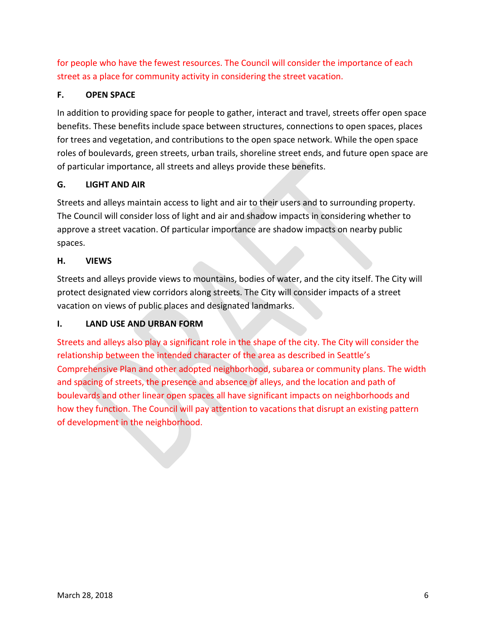for people who have the fewest resources. The Council will consider the importance of each street as a place for community activity in considering the street vacation.

# **F. OPEN SPACE**

In addition to providing space for people to gather, interact and travel, streets offer open space benefits. These benefits include space between structures, connections to open spaces, places for trees and vegetation, and contributions to the open space network. While the open space roles of boulevards, green streets, urban trails, shoreline street ends, and future open space are of particular importance, all streets and alleys provide these benefits.

# **G. LIGHT AND AIR**

Streets and alleys maintain access to light and air to their users and to surrounding property. The Council will consider loss of light and air and shadow impacts in considering whether to approve a street vacation. Of particular importance are shadow impacts on nearby public spaces.

# **H. VIEWS**

Streets and alleys provide views to mountains, bodies of water, and the city itself. The City will protect designated view corridors along streets. The City will consider impacts of a street vacation on views of public places and designated landmarks.

# **I. LAND USE AND URBAN FORM**

Streets and alleys also play a significant role in the shape of the city. The City will consider the relationship between the intended character of the area as described in Seattle's Comprehensive Plan and other adopted neighborhood, subarea or community plans. The width and spacing of streets, the presence and absence of alleys, and the location and path of boulevards and other linear open spaces all have significant impacts on neighborhoods and how they function. The Council will pay attention to vacations that disrupt an existing pattern of development in the neighborhood.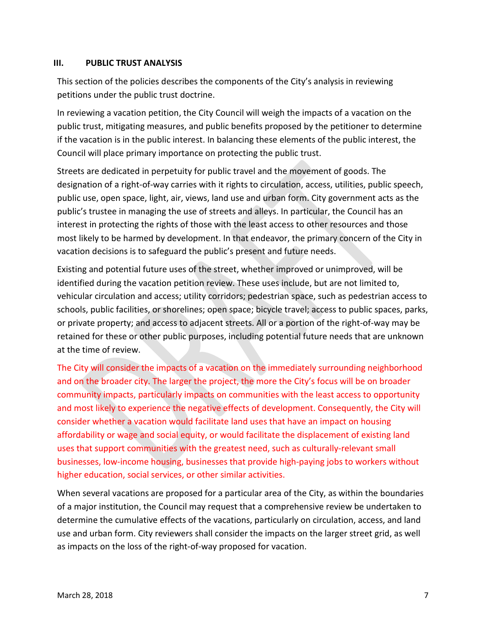#### <span id="page-12-0"></span>**III. PUBLIC TRUST ANALYSIS**

This section of the policies describes the components of the City's analysis in reviewing petitions under the public trust doctrine.

In reviewing a vacation petition, the City Council will weigh the impacts of a vacation on the public trust, mitigating measures, and public benefits proposed by the petitioner to determine if the vacation is in the public interest. In balancing these elements of the public interest, the Council will place primary importance on protecting the public trust.

Streets are dedicated in perpetuity for public travel and the movement of goods. The designation of a right-of-way carries with it rights to circulation, access, utilities, public speech, public use, open space, light, air, views, land use and urban form. City government acts as the public's trustee in managing the use of streets and alleys. In particular, the Council has an interest in protecting the rights of those with the least access to other resources and those most likely to be harmed by development. In that endeavor, the primary concern of the City in vacation decisions is to safeguard the public's present and future needs.

Existing and potential future uses of the street, whether improved or unimproved, will be identified during the vacation petition review. These uses include, but are not limited to, vehicular circulation and access; utility corridors; pedestrian space, such as pedestrian access to schools, public facilities, or shorelines; open space; bicycle travel; access to public spaces, parks, or private property; and access to adjacent streets. All or a portion of the right-of-way may be retained for these or other public purposes, including potential future needs that are unknown at the time of review.

The City will consider the impacts of a vacation on the immediately surrounding neighborhood and on the broader city. The larger the project, the more the City's focus will be on broader community impacts, particularly impacts on communities with the least access to opportunity and most likely to experience the negative effects of development. Consequently, the City will consider whether a vacation would facilitate land uses that have an impact on housing affordability or wage and social equity, or would facilitate the displacement of existing land uses that support communities with the greatest need, such as culturally-relevant small businesses, low-income housing, businesses that provide high-paying jobs to workers without higher education, social services, or other similar activities.

When several vacations are proposed for a particular area of the City, as within the boundaries of a major institution, the Council may request that a comprehensive review be undertaken to determine the cumulative effects of the vacations, particularly on circulation, access, and land use and urban form. City reviewers shall consider the impacts on the larger street grid, as well as impacts on the loss of the right-of-way proposed for vacation.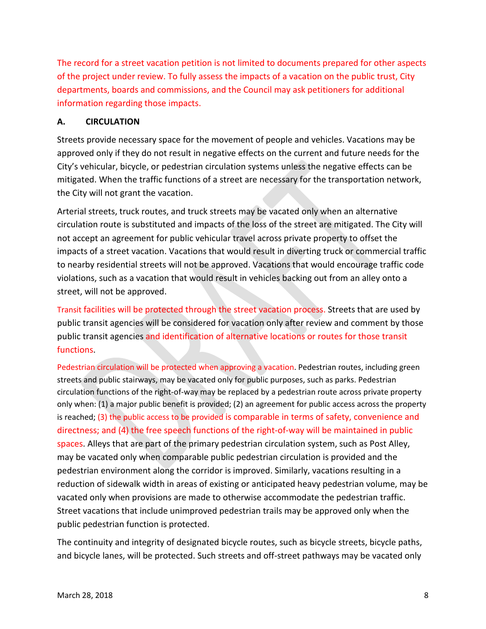The record for a street vacation petition is not limited to documents prepared for other aspects of the project under review. To fully assess the impacts of a vacation on the public trust, City departments, boards and commissions, and the Council may ask petitioners for additional information regarding those impacts.

#### <span id="page-13-0"></span>**A. CIRCULATION**

Streets provide necessary space for the movement of people and vehicles. Vacations may be approved only if they do not result in negative effects on the current and future needs for the City's vehicular, bicycle, or pedestrian circulation systems unless the negative effects can be mitigated. When the traffic functions of a street are necessary for the transportation network, the City will not grant the vacation.

Arterial streets, truck routes, and truck streets may be vacated only when an alternative circulation route is substituted and impacts of the loss of the street are mitigated. The City will not accept an agreement for public vehicular travel across private property to offset the impacts of a street vacation. Vacations that would result in diverting truck or commercial traffic to nearby residential streets will not be approved. Vacations that would encourage traffic code violations, such as a vacation that would result in vehicles backing out from an alley onto a street, will not be approved.

Transit facilities will be protected through the street vacation process. Streets that are used by public transit agencies will be considered for vacation only after review and comment by those public transit agencies and identification of alternative locations or routes for those transit functions.

Pedestrian circulation will be protected when approving a vacation. Pedestrian routes, including green streets and public stairways, may be vacated only for public purposes, such as parks. Pedestrian circulation functions of the right-of-way may be replaced by a pedestrian route across private property only when: (1) a major public benefit is provided; (2) an agreement for public access across the property is reached; (3) the public access to be provided is comparable in terms of safety, convenience and directness; and (4) the free speech functions of the right-of-way will be maintained in public spaces. Alleys that are part of the primary pedestrian circulation system, such as Post Alley, may be vacated only when comparable public pedestrian circulation is provided and the pedestrian environment along the corridor is improved. Similarly, vacations resulting in a reduction of sidewalk width in areas of existing or anticipated heavy pedestrian volume, may be vacated only when provisions are made to otherwise accommodate the pedestrian traffic. Street vacations that include unimproved pedestrian trails may be approved only when the public pedestrian function is protected.

The continuity and integrity of designated bicycle routes, such as bicycle streets, bicycle paths, and bicycle lanes, will be protected. Such streets and off-street pathways may be vacated only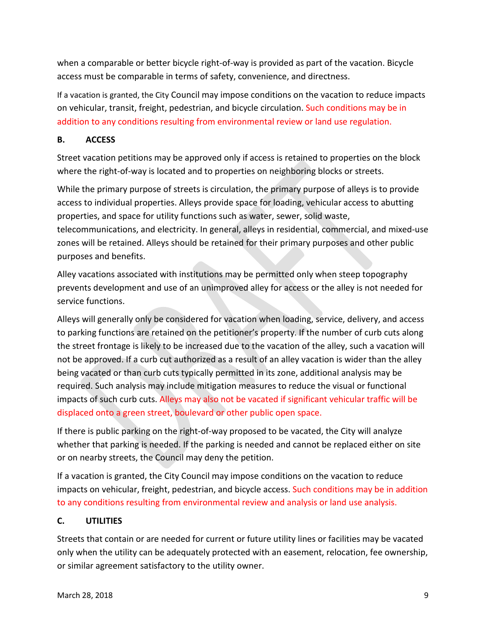when a comparable or better bicycle right-of-way is provided as part of the vacation. Bicycle access must be comparable in terms of safety, convenience, and directness.

If a vacation is granted, the City Council may impose conditions on the vacation to reduce impacts on vehicular, transit, freight, pedestrian, and bicycle circulation. Such conditions may be in addition to any conditions resulting from environmental review or land use regulation.

# <span id="page-14-0"></span>**B. ACCESS**

Street vacation petitions may be approved only if access is retained to properties on the block where the right-of-way is located and to properties on neighboring blocks or streets.

While the primary purpose of streets is circulation, the primary purpose of alleys is to provide access to individual properties. Alleys provide space for loading, vehicular access to abutting properties, and space for utility functions such as water, sewer, solid waste, telecommunications, and electricity. In general, alleys in residential, commercial, and mixed-use zones will be retained. Alleys should be retained for their primary purposes and other public purposes and benefits.

Alley vacations associated with institutions may be permitted only when steep topography prevents development and use of an unimproved alley for access or the alley is not needed for service functions.

Alleys will generally only be considered for vacation when loading, service, delivery, and access to parking functions are retained on the petitioner's property. If the number of curb cuts along the street frontage is likely to be increased due to the vacation of the alley, such a vacation will not be approved. If a curb cut authorized as a result of an alley vacation is wider than the alley being vacated or than curb cuts typically permitted in its zone, additional analysis may be required. Such analysis may include mitigation measures to reduce the visual or functional impacts of such curb cuts. Alleys may also not be vacated if significant vehicular traffic will be displaced onto a green street, boulevard or other public open space.

If there is public parking on the right-of-way proposed to be vacated, the City will analyze whether that parking is needed. If the parking is needed and cannot be replaced either on site or on nearby streets, the Council may deny the petition.

If a vacation is granted, the City Council may impose conditions on the vacation to reduce impacts on vehicular, freight, pedestrian, and bicycle access. Such conditions may be in addition to any conditions resulting from environmental review and analysis or land use analysis.

# <span id="page-14-1"></span>**C. UTILITIES**

Streets that contain or are needed for current or future utility lines or facilities may be vacated only when the utility can be adequately protected with an easement, relocation, fee ownership, or similar agreement satisfactory to the utility owner.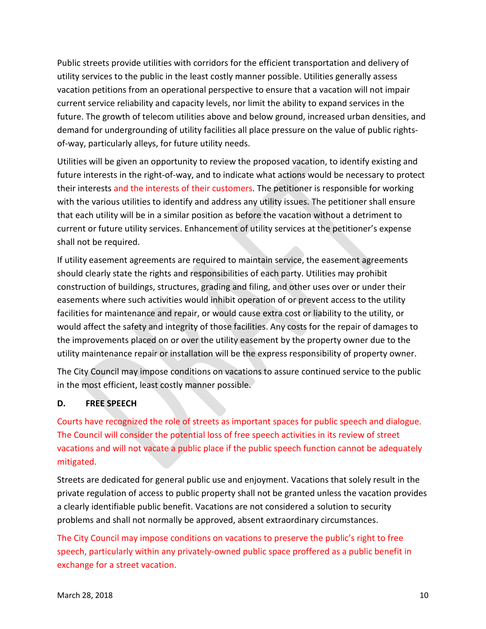Public streets provide utilities with corridors for the efficient transportation and delivery of utility services to the public in the least costly manner possible. Utilities generally assess vacation petitions from an operational perspective to ensure that a vacation will not impair current service reliability and capacity levels, nor limit the ability to expand services in the future. The growth of telecom utilities above and below ground, increased urban densities, and demand for undergrounding of utility facilities all place pressure on the value of public rightsof-way, particularly alleys, for future utility needs.

Utilities will be given an opportunity to review the proposed vacation, to identify existing and future interests in the right-of-way, and to indicate what actions would be necessary to protect their interests and the interests of their customers. The petitioner is responsible for working with the various utilities to identify and address any utility issues. The petitioner shall ensure that each utility will be in a similar position as before the vacation without a detriment to current or future utility services. Enhancement of utility services at the petitioner's expense shall not be required.

If utility easement agreements are required to maintain service, the easement agreements should clearly state the rights and responsibilities of each party. Utilities may prohibit construction of buildings, structures, grading and filing, and other uses over or under their easements where such activities would inhibit operation of or prevent access to the utility facilities for maintenance and repair, or would cause extra cost or liability to the utility, or would affect the safety and integrity of those facilities. Any costs for the repair of damages to the improvements placed on or over the utility easement by the property owner due to the utility maintenance repair or installation will be the express responsibility of property owner.

The City Council may impose conditions on vacations to assure continued service to the public in the most efficient, least costly manner possible.

#### <span id="page-15-0"></span>**D. FREE SPEECH**

Courts have recognized the role of streets as important spaces for public speech and dialogue. The Council will consider the potential loss of free speech activities in its review of street vacations and will not vacate a public place if the public speech function cannot be adequately mitigated.

Streets are dedicated for general public use and enjoyment. Vacations that solely result in the private regulation of access to public property shall not be granted unless the vacation provides a clearly identifiable public benefit. Vacations are not considered a solution to security problems and shall not normally be approved, absent extraordinary circumstances.

The City Council may impose conditions on vacations to preserve the public's right to free speech, particularly within any privately-owned public space proffered as a public benefit in exchange for a street vacation.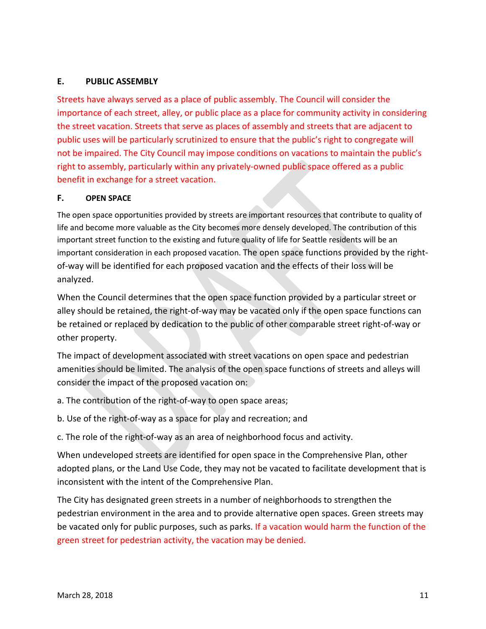#### <span id="page-16-0"></span>**E. PUBLIC ASSEMBLY**

Streets have always served as a place of public assembly. The Council will consider the importance of each street, alley, or public place as a place for community activity in considering the street vacation. Streets that serve as places of assembly and streets that are adjacent to public uses will be particularly scrutinized to ensure that the public's right to congregate will not be impaired. The City Council may impose conditions on vacations to maintain the public's right to assembly, particularly within any privately-owned public space offered as a public benefit in exchange for a street vacation.

#### <span id="page-16-1"></span>**F. OPEN SPACE**

The open space opportunities provided by streets are important resources that contribute to quality of life and become more valuable as the City becomes more densely developed. The contribution of this important street function to the existing and future quality of life for Seattle residents will be an important consideration in each proposed vacation. The open space functions provided by the rightof-way will be identified for each proposed vacation and the effects of their loss will be analyzed.

When the Council determines that the open space function provided by a particular street or alley should be retained, the right-of-way may be vacated only if the open space functions can be retained or replaced by dedication to the public of other comparable street right-of-way or other property.

The impact of development associated with street vacations on open space and pedestrian amenities should be limited. The analysis of the open space functions of streets and alleys will consider the impact of the proposed vacation on:

- a. The contribution of the right-of-way to open space areas;
- b. Use of the right-of-way as a space for play and recreation; and

c. The role of the right-of-way as an area of neighborhood focus and activity.

When undeveloped streets are identified for open space in the Comprehensive Plan, other adopted plans, or the Land Use Code, they may not be vacated to facilitate development that is inconsistent with the intent of the Comprehensive Plan.

The City has designated green streets in a number of neighborhoods to strengthen the pedestrian environment in the area and to provide alternative open spaces. Green streets may be vacated only for public purposes, such as parks. If a vacation would harm the function of the green street for pedestrian activity, the vacation may be denied.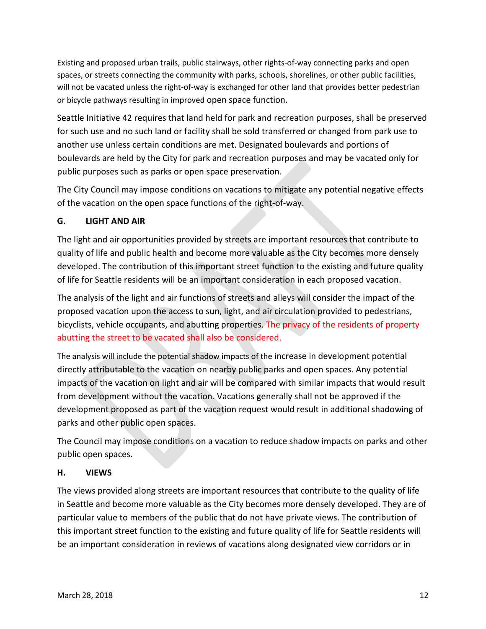Existing and proposed urban trails, public stairways, other rights-of-way connecting parks and open spaces, or streets connecting the community with parks, schools, shorelines, or other public facilities, will not be vacated unless the right-of-way is exchanged for other land that provides better pedestrian or bicycle pathways resulting in improved open space function.

Seattle Initiative 42 requires that land held for park and recreation purposes, shall be preserved for such use and no such land or facility shall be sold transferred or changed from park use to another use unless certain conditions are met. Designated boulevards and portions of boulevards are held by the City for park and recreation purposes and may be vacated only for public purposes such as parks or open space preservation.

The City Council may impose conditions on vacations to mitigate any potential negative effects of the vacation on the open space functions of the right-of-way.

# <span id="page-17-0"></span>**G. LIGHT AND AIR**

The light and air opportunities provided by streets are important resources that contribute to quality of life and public health and become more valuable as the City becomes more densely developed. The contribution of this important street function to the existing and future quality of life for Seattle residents will be an important consideration in each proposed vacation.

The analysis of the light and air functions of streets and alleys will consider the impact of the proposed vacation upon the access to sun, light, and air circulation provided to pedestrians, bicyclists, vehicle occupants, and abutting properties. The privacy of the residents of property abutting the street to be vacated shall also be considered.

The analysis will include the potential shadow impacts of the increase in development potential directly attributable to the vacation on nearby public parks and open spaces. Any potential impacts of the vacation on light and air will be compared with similar impacts that would result from development without the vacation. Vacations generally shall not be approved if the development proposed as part of the vacation request would result in additional shadowing of parks and other public open spaces.

The Council may impose conditions on a vacation to reduce shadow impacts on parks and other public open spaces.

# <span id="page-17-1"></span>**H. VIEWS**

The views provided along streets are important resources that contribute to the quality of life in Seattle and become more valuable as the City becomes more densely developed. They are of particular value to members of the public that do not have private views. The contribution of this important street function to the existing and future quality of life for Seattle residents will be an important consideration in reviews of vacations along designated view corridors or in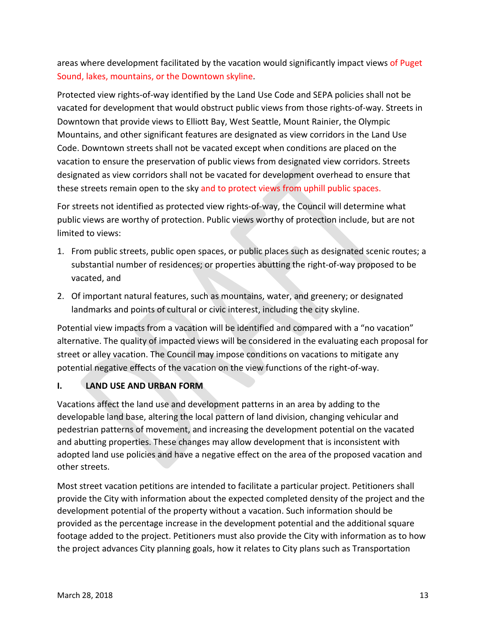areas where development facilitated by the vacation would significantly impact views of Puget Sound, lakes, mountains, or the Downtown skyline.

Protected view rights-of-way identified by the Land Use Code and SEPA policies shall not be vacated for development that would obstruct public views from those rights-of-way. Streets in Downtown that provide views to Elliott Bay, West Seattle, Mount Rainier, the Olympic Mountains, and other significant features are designated as view corridors in the Land Use Code. Downtown streets shall not be vacated except when conditions are placed on the vacation to ensure the preservation of public views from designated view corridors. Streets designated as view corridors shall not be vacated for development overhead to ensure that these streets remain open to the sky and to protect views from uphill public spaces.

For streets not identified as protected view rights-of-way, the Council will determine what public views are worthy of protection. Public views worthy of protection include, but are not limited to views:

- 1. From public streets, public open spaces, or public places such as designated scenic routes; a substantial number of residences; or properties abutting the right-of-way proposed to be vacated, and
- 2. Of important natural features, such as mountains, water, and greenery; or designated landmarks and points of cultural or civic interest, including the city skyline.

Potential view impacts from a vacation will be identified and compared with a "no vacation" alternative. The quality of impacted views will be considered in the evaluating each proposal for street or alley vacation. The Council may impose conditions on vacations to mitigate any potential negative effects of the vacation on the view functions of the right-of-way.

# <span id="page-18-0"></span>**I. LAND USE AND URBAN FORM**

Vacations affect the land use and development patterns in an area by adding to the developable land base, altering the local pattern of land division, changing vehicular and pedestrian patterns of movement, and increasing the development potential on the vacated and abutting properties. These changes may allow development that is inconsistent with adopted land use policies and have a negative effect on the area of the proposed vacation and other streets.

Most street vacation petitions are intended to facilitate a particular project. Petitioners shall provide the City with information about the expected completed density of the project and the development potential of the property without a vacation. Such information should be provided as the percentage increase in the development potential and the additional square footage added to the project. Petitioners must also provide the City with information as to how the project advances City planning goals, how it relates to City plans such as Transportation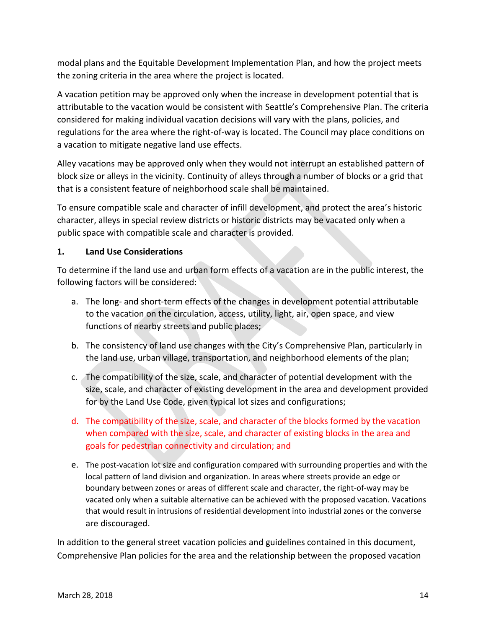modal plans and the Equitable Development Implementation Plan, and how the project meets the zoning criteria in the area where the project is located.

A vacation petition may be approved only when the increase in development potential that is attributable to the vacation would be consistent with Seattle's Comprehensive Plan. The criteria considered for making individual vacation decisions will vary with the plans, policies, and regulations for the area where the right-of-way is located. The Council may place conditions on a vacation to mitigate negative land use effects.

Alley vacations may be approved only when they would not interrupt an established pattern of block size or alleys in the vicinity. Continuity of alleys through a number of blocks or a grid that that is a consistent feature of neighborhood scale shall be maintained.

To ensure compatible scale and character of infill development, and protect the area's historic character, alleys in special review districts or historic districts may be vacated only when a public space with compatible scale and character is provided.

# **1. Land Use Considerations**

To determine if the land use and urban form effects of a vacation are in the public interest, the following factors will be considered:

- a. The long- and short-term effects of the changes in development potential attributable to the vacation on the circulation, access, utility, light, air, open space, and view functions of nearby streets and public places;
- b. The consistency of land use changes with the City's Comprehensive Plan, particularly in the land use, urban village, transportation, and neighborhood elements of the plan;
- c. The compatibility of the size, scale, and character of potential development with the size, scale, and character of existing development in the area and development provided for by the Land Use Code, given typical lot sizes and configurations;
- d. The compatibility of the size, scale, and character of the blocks formed by the vacation when compared with the size, scale, and character of existing blocks in the area and goals for pedestrian connectivity and circulation; and
- e. The post-vacation lot size and configuration compared with surrounding properties and with the local pattern of land division and organization. In areas where streets provide an edge or boundary between zones or areas of different scale and character, the right-of-way may be vacated only when a suitable alternative can be achieved with the proposed vacation. Vacations that would result in intrusions of residential development into industrial zones or the converse are discouraged.

In addition to the general street vacation policies and guidelines contained in this document, Comprehensive Plan policies for the area and the relationship between the proposed vacation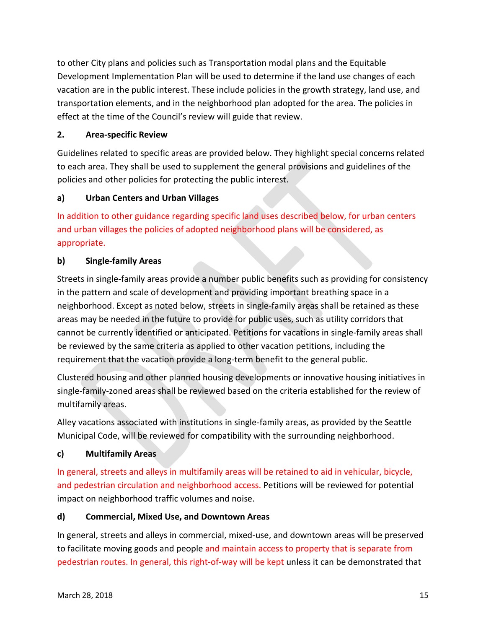to other City plans and policies such as Transportation modal plans and the Equitable Development Implementation Plan will be used to determine if the land use changes of each vacation are in the public interest. These include policies in the growth strategy, land use, and transportation elements, and in the neighborhood plan adopted for the area. The policies in effect at the time of the Council's review will guide that review.

# **2. Area-specific Review**

Guidelines related to specific areas are provided below. They highlight special concerns related to each area. They shall be used to supplement the general provisions and guidelines of the policies and other policies for protecting the public interest.

# **a) Urban Centers and Urban Villages**

In addition to other guidance regarding specific land uses described below, for urban centers and urban villages the policies of adopted neighborhood plans will be considered, as appropriate.

# **b) Single-family Areas**

Streets in single-family areas provide a number public benefits such as providing for consistency in the pattern and scale of development and providing important breathing space in a neighborhood. Except as noted below, streets in single-family areas shall be retained as these areas may be needed in the future to provide for public uses, such as utility corridors that cannot be currently identified or anticipated. Petitions for vacations in single-family areas shall be reviewed by the same criteria as applied to other vacation petitions, including the requirement that the vacation provide a long-term benefit to the general public.

Clustered housing and other planned housing developments or innovative housing initiatives in single-family-zoned areas shall be reviewed based on the criteria established for the review of multifamily areas.

Alley vacations associated with institutions in single-family areas, as provided by the Seattle Municipal Code, will be reviewed for compatibility with the surrounding neighborhood.

# **c) Multifamily Areas**

In general, streets and alleys in multifamily areas will be retained to aid in vehicular, bicycle, and pedestrian circulation and neighborhood access. Petitions will be reviewed for potential impact on neighborhood traffic volumes and noise.

# **d) Commercial, Mixed Use, and Downtown Areas**

In general, streets and alleys in commercial, mixed-use, and downtown areas will be preserved to facilitate moving goods and people and maintain access to property that is separate from pedestrian routes. In general, this right-of-way will be kept unless it can be demonstrated that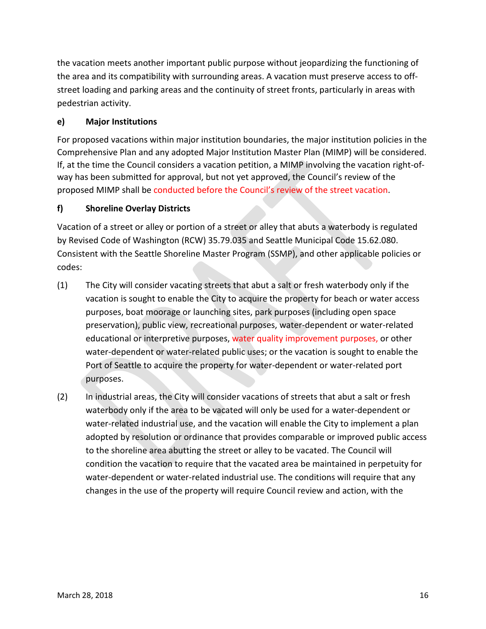the vacation meets another important public purpose without jeopardizing the functioning of the area and its compatibility with surrounding areas. A vacation must preserve access to offstreet loading and parking areas and the continuity of street fronts, particularly in areas with pedestrian activity.

# **e) Major Institutions**

For proposed vacations within major institution boundaries, the major institution policies in the Comprehensive Plan and any adopted Major Institution Master Plan (MIMP) will be considered. If, at the time the Council considers a vacation petition, a MIMP involving the vacation right-ofway has been submitted for approval, but not yet approved, the Council's review of the proposed MIMP shall be conducted before the Council's review of the street vacation.

# **f) Shoreline Overlay Districts**

Vacation of a street or alley or portion of a street or alley that abuts a waterbody is regulated by Revised Code of Washington (RCW) 35.79.035 and Seattle Municipal Code 15.62.080. Consistent with the Seattle Shoreline Master Program (SSMP), and other applicable policies or codes:

- (1) The City will consider vacating streets that abut a salt or fresh waterbody only if the vacation is sought to enable the City to acquire the property for beach or water access purposes, boat moorage or launching sites, park purposes (including open space preservation), public view, recreational purposes, water-dependent or water-related educational or interpretive purposes, water quality improvement purposes, or other water-dependent or water-related public uses; or the vacation is sought to enable the Port of Seattle to acquire the property for water-dependent or water-related port purposes.
- (2) In industrial areas, the City will consider vacations of streets that abut a salt or fresh waterbody only if the area to be vacated will only be used for a water-dependent or water-related industrial use, and the vacation will enable the City to implement a plan adopted by resolution or ordinance that provides comparable or improved public access to the shoreline area abutting the street or alley to be vacated. The Council will condition the vacation to require that the vacated area be maintained in perpetuity for water-dependent or water-related industrial use. The conditions will require that any changes in the use of the property will require Council review and action, with the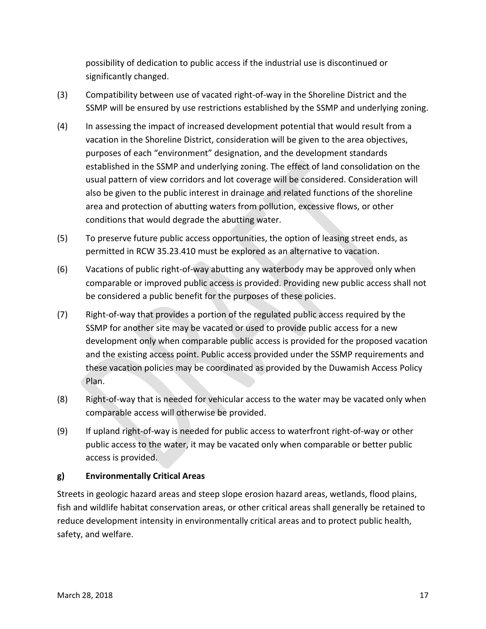possibility of dedication to public access if the industrial use is discontinued or significantly changed.

- (3) Compatibility between use of vacated right-of-way in the Shoreline District and the SSMP will be ensured by use restrictions established by the SSMP and underlying zoning.
- (4) In assessing the impact of increased development potential that would result from a vacation in the Shoreline District, consideration will be given to the area objectives, purposes of each "environment" designation, and the development standards established in the SSMP and underlying zoning. The effect of land consolidation on the usual pattern of view corridors and lot coverage will be considered. Consideration will also be given to the public interest in drainage and related functions of the shoreline area and protection of abutting waters from pollution, excessive flows, or other conditions that would degrade the abutting water.
- (5) To preserve future public access opportunities, the option of leasing street ends, as permitted in RCW 35.23.410 must be explored as an alternative to vacation.
- (6) Vacations of public right-of-way abutting any waterbody may be approved only when comparable or improved public access is provided. Providing new public access shall not be considered a public benefit for the purposes of these policies.
- (7) Right-of-way that provides a portion of the regulated public access required by the SSMP for another site may be vacated or used to provide public access for a new development only when comparable public access is provided for the proposed vacation and the existing access point. Public access provided under the SSMP requirements and these vacation policies may be coordinated as provided by the Duwamish Access Policy Plan.
- (8) Right-of-way that is needed for vehicular access to the water may be vacated only when comparable access will otherwise be provided.
- (9) If upland right-of-way is needed for public access to waterfront right-of-way or other public access to the water, it may be vacated only when comparable or better public access is provided.

# **g) Environmentally Critical Areas**

Streets in geologic hazard areas and steep slope erosion hazard areas, wetlands, flood plains, fish and wildlife habitat conservation areas, or other critical areas shall generally be retained to reduce development intensity in environmentally critical areas and to protect public health, safety, and welfare.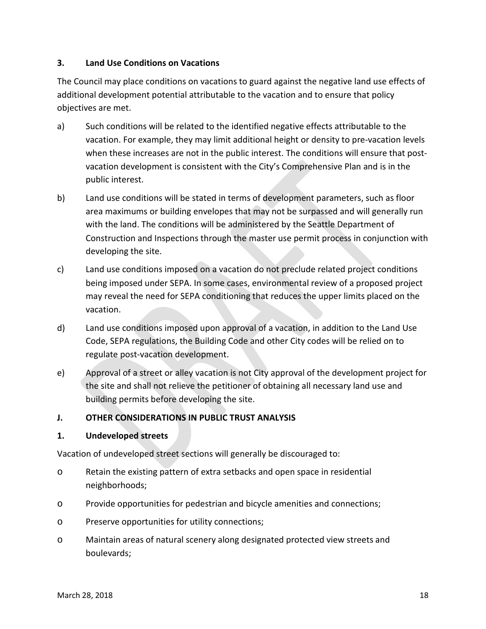#### **3. Land Use Conditions on Vacations**

The Council may place conditions on vacations to guard against the negative land use effects of additional development potential attributable to the vacation and to ensure that policy objectives are met.

- a) Such conditions will be related to the identified negative effects attributable to the vacation. For example, they may limit additional height or density to pre-vacation levels when these increases are not in the public interest. The conditions will ensure that postvacation development is consistent with the City's Comprehensive Plan and is in the public interest.
- b) Land use conditions will be stated in terms of development parameters, such as floor area maximums or building envelopes that may not be surpassed and will generally run with the land. The conditions will be administered by the Seattle Department of Construction and Inspections through the master use permit process in conjunction with developing the site.
- c) Land use conditions imposed on a vacation do not preclude related project conditions being imposed under SEPA. In some cases, environmental review of a proposed project may reveal the need for SEPA conditioning that reduces the upper limits placed on the vacation.
- d) Land use conditions imposed upon approval of a vacation, in addition to the Land Use Code, SEPA regulations, the Building Code and other City codes will be relied on to regulate post-vacation development.
- e) Approval of a street or alley vacation is not City approval of the development project for the site and shall not relieve the petitioner of obtaining all necessary land use and building permits before developing the site.

# <span id="page-23-0"></span>**J. OTHER CONSIDERATIONS IN PUBLIC TRUST ANALYSIS**

# **1. Undeveloped streets**

Vacation of undeveloped street sections will generally be discouraged to:

- o Retain the existing pattern of extra setbacks and open space in residential neighborhoods;
- o Provide opportunities for pedestrian and bicycle amenities and connections;
- o Preserve opportunities for utility connections;
- o Maintain areas of natural scenery along designated protected view streets and boulevards;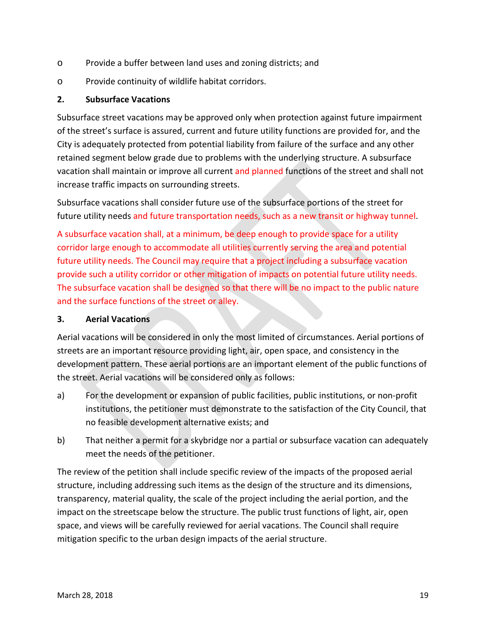- o Provide a buffer between land uses and zoning districts; and
- o Provide continuity of wildlife habitat corridors.

#### **2. Subsurface Vacations**

Subsurface street vacations may be approved only when protection against future impairment of the street's surface is assured, current and future utility functions are provided for, and the City is adequately protected from potential liability from failure of the surface and any other retained segment below grade due to problems with the underlying structure. A subsurface vacation shall maintain or improve all current and planned functions of the street and shall not increase traffic impacts on surrounding streets.

Subsurface vacations shall consider future use of the subsurface portions of the street for future utility needs and future transportation needs, such as a new transit or highway tunnel.

A subsurface vacation shall, at a minimum, be deep enough to provide space for a utility corridor large enough to accommodate all utilities currently serving the area and potential future utility needs. The Council may require that a project including a subsurface vacation provide such a utility corridor or other mitigation of impacts on potential future utility needs. The subsurface vacation shall be designed so that there will be no impact to the public nature and the surface functions of the street or alley.

#### **3. Aerial Vacations**

Aerial vacations will be considered in only the most limited of circumstances. Aerial portions of streets are an important resource providing light, air, open space, and consistency in the development pattern. These aerial portions are an important element of the public functions of the street. Aerial vacations will be considered only as follows:

- a) For the development or expansion of public facilities, public institutions, or non-profit institutions, the petitioner must demonstrate to the satisfaction of the City Council, that no feasible development alternative exists; and
- b) That neither a permit for a skybridge nor a partial or subsurface vacation can adequately meet the needs of the petitioner.

The review of the petition shall include specific review of the impacts of the proposed aerial structure, including addressing such items as the design of the structure and its dimensions, transparency, material quality, the scale of the project including the aerial portion, and the impact on the streetscape below the structure. The public trust functions of light, air, open space, and views will be carefully reviewed for aerial vacations. The Council shall require mitigation specific to the urban design impacts of the aerial structure.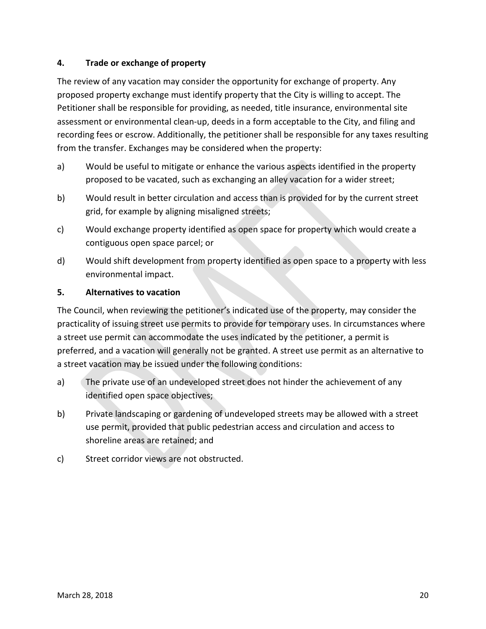#### **4. Trade or exchange of property**

The review of any vacation may consider the opportunity for exchange of property. Any proposed property exchange must identify property that the City is willing to accept. The Petitioner shall be responsible for providing, as needed, title insurance, environmental site assessment or environmental clean-up, deeds in a form acceptable to the City, and filing and recording fees or escrow. Additionally, the petitioner shall be responsible for any taxes resulting from the transfer. Exchanges may be considered when the property:

- a) Would be useful to mitigate or enhance the various aspects identified in the property proposed to be vacated, such as exchanging an alley vacation for a wider street;
- b) Would result in better circulation and access than is provided for by the current street grid, for example by aligning misaligned streets;
- c) Would exchange property identified as open space for property which would create a contiguous open space parcel; or
- d) Would shift development from property identified as open space to a property with less environmental impact.

#### **5. Alternatives to vacation**

The Council, when reviewing the petitioner's indicated use of the property, may consider the practicality of issuing street use permits to provide for temporary uses. In circumstances where a street use permit can accommodate the uses indicated by the petitioner, a permit is preferred, and a vacation will generally not be granted. A street use permit as an alternative to a street vacation may be issued under the following conditions:

- a) The private use of an undeveloped street does not hinder the achievement of any identified open space objectives;
- b) Private landscaping or gardening of undeveloped streets may be allowed with a street use permit, provided that public pedestrian access and circulation and access to shoreline areas are retained; and
- c) Street corridor views are not obstructed.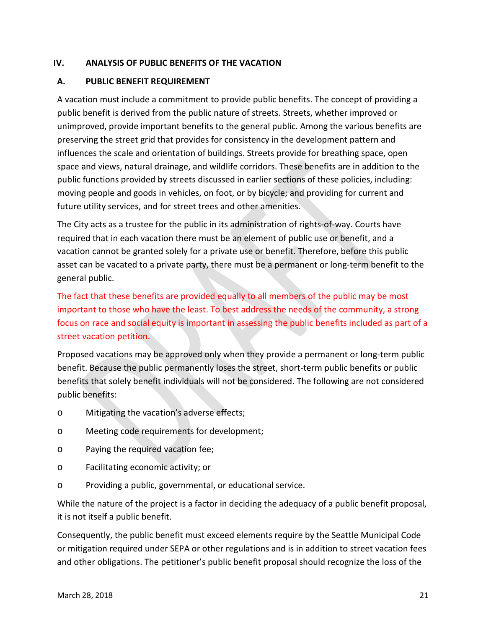# <span id="page-26-0"></span>**IV. ANALYSIS OF PUBLIC BENEFITS OF THE VACATION**

#### <span id="page-26-1"></span>**A. PUBLIC BENEFIT REQUIREMENT**

A vacation must include a commitment to provide public benefits. The concept of providing a public benefit is derived from the public nature of streets. Streets, whether improved or unimproved, provide important benefits to the general public. Among the various benefits are preserving the street grid that provides for consistency in the development pattern and influences the scale and orientation of buildings. Streets provide for breathing space, open space and views, natural drainage, and wildlife corridors. These benefits are in addition to the public functions provided by streets discussed in earlier sections of these policies, including: moving people and goods in vehicles, on foot, or by bicycle; and providing for current and future utility services, and for street trees and other amenities.

The City acts as a trustee for the public in its administration of rights-of-way. Courts have required that in each vacation there must be an element of public use or benefit, and a vacation cannot be granted solely for a private use or benefit. Therefore, before this public asset can be vacated to a private party, there must be a permanent or long-term benefit to the general public.

The fact that these benefits are provided equally to all members of the public may be most important to those who have the least. To best address the needs of the community, a strong focus on race and social equity is important in assessing the public benefits included as part of a street vacation petition.

Proposed vacations may be approved only when they provide a permanent or long-term public benefit. Because the public permanently loses the street, short-term public benefits or public benefits that solely benefit individuals will not be considered. The following are not considered public benefits:

- o Mitigating the vacation's adverse effects;
- o Meeting code requirements for development;
- o Paying the required vacation fee;
- o Facilitating economic activity; or
- o Providing a public, governmental, or educational service.

While the nature of the project is a factor in deciding the adequacy of a public benefit proposal, it is not itself a public benefit.

Consequently, the public benefit must exceed elements require by the Seattle Municipal Code or mitigation required under SEPA or other regulations and is in addition to street vacation fees and other obligations. The petitioner's public benefit proposal should recognize the loss of the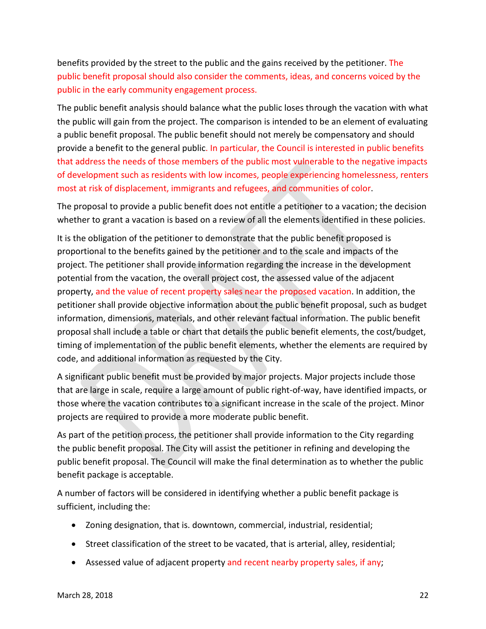benefits provided by the street to the public and the gains received by the petitioner. The public benefit proposal should also consider the comments, ideas, and concerns voiced by the public in the early community engagement process.

The public benefit analysis should balance what the public loses through the vacation with what the public will gain from the project. The comparison is intended to be an element of evaluating a public benefit proposal. The public benefit should not merely be compensatory and should provide a benefit to the general public. In particular, the Council is interested in public benefits that address the needs of those members of the public most vulnerable to the negative impacts of development such as residents with low incomes, people experiencing homelessness, renters most at risk of displacement, immigrants and refugees, and communities of color.

The proposal to provide a public benefit does not entitle a petitioner to a vacation; the decision whether to grant a vacation is based on a review of all the elements identified in these policies.

It is the obligation of the petitioner to demonstrate that the public benefit proposed is proportional to the benefits gained by the petitioner and to the scale and impacts of the project. The petitioner shall provide information regarding the increase in the development potential from the vacation, the overall project cost, the assessed value of the adjacent property, and the value of recent property sales near the proposed vacation. In addition, the petitioner shall provide objective information about the public benefit proposal, such as budget information, dimensions, materials, and other relevant factual information. The public benefit proposal shall include a table or chart that details the public benefit elements, the cost/budget, timing of implementation of the public benefit elements, whether the elements are required by code, and additional information as requested by the City.

A significant public benefit must be provided by major projects. Major projects include those that are large in scale, require a large amount of public right-of-way, have identified impacts, or those where the vacation contributes to a significant increase in the scale of the project. Minor projects are required to provide a more moderate public benefit.

As part of the petition process, the petitioner shall provide information to the City regarding the public benefit proposal. The City will assist the petitioner in refining and developing the public benefit proposal. The Council will make the final determination as to whether the public benefit package is acceptable.

A number of factors will be considered in identifying whether a public benefit package is sufficient, including the:

- Zoning designation, that is. downtown, commercial, industrial, residential;
- Street classification of the street to be vacated, that is arterial, alley, residential;
- Assessed value of adjacent property and recent nearby property sales, if any;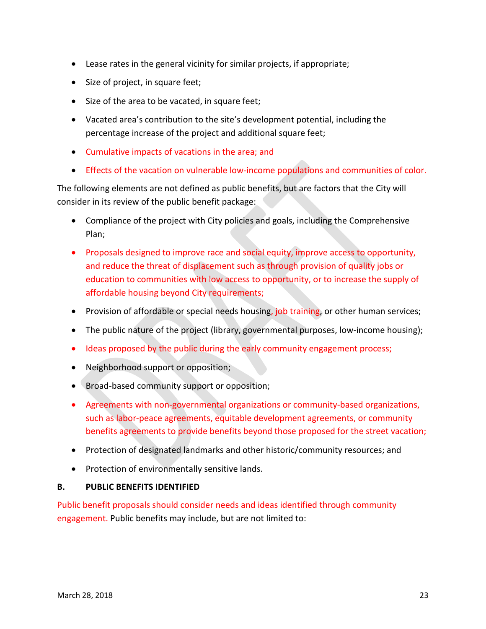- Lease rates in the general vicinity for similar projects, if appropriate;
- Size of project, in square feet;
- Size of the area to be vacated, in square feet;
- Vacated area's contribution to the site's development potential, including the percentage increase of the project and additional square feet;
- Cumulative impacts of vacations in the area; and
- Effects of the vacation on vulnerable low-income populations and communities of color.

The following elements are not defined as public benefits, but are factors that the City will consider in its review of the public benefit package:

- Compliance of the project with City policies and goals, including the Comprehensive Plan;
- Proposals designed to improve race and social equity, improve access to opportunity, and reduce the threat of displacement such as through provision of quality jobs or education to communities with low access to opportunity, or to increase the supply of affordable housing beyond City requirements;
- Provision of affordable or special needs housing, job training, or other human services;
- The public nature of the project (library, governmental purposes, low-income housing);
- Ideas proposed by the public during the early community engagement process;
- Neighborhood support or opposition;
- Broad-based community support or opposition;
- Agreements with non-governmental organizations or community-based organizations, such as labor-peace agreements, equitable development agreements, or community benefits agreements to provide benefits beyond those proposed for the street vacation;
- Protection of designated landmarks and other historic/community resources; and
- Protection of environmentally sensitive lands.

# <span id="page-28-0"></span>**B. PUBLIC BENEFITS IDENTIFIED**

Public benefit proposals should consider needs and ideas identified through community engagement. Public benefits may include, but are not limited to: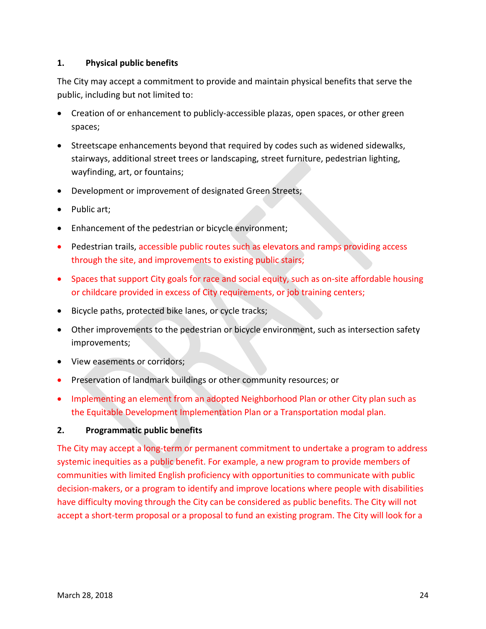#### **1. Physical public benefits**

The City may accept a commitment to provide and maintain physical benefits that serve the public, including but not limited to:

- Creation of or enhancement to publicly-accessible plazas, open spaces, or other green spaces;
- Streetscape enhancements beyond that required by codes such as widened sidewalks, stairways, additional street trees or landscaping, street furniture, pedestrian lighting, wayfinding, art, or fountains;
- Development or improvement of designated Green Streets;
- Public art;
- Enhancement of the pedestrian or bicycle environment;
- Pedestrian trails, accessible public routes such as elevators and ramps providing access through the site, and improvements to existing public stairs;
- Spaces that support City goals for race and social equity, such as on-site affordable housing or childcare provided in excess of City requirements, or job training centers;
- Bicycle paths, protected bike lanes, or cycle tracks;
- Other improvements to the pedestrian or bicycle environment, such as intersection safety improvements;
- View easements or corridors;
- Preservation of landmark buildings or other community resources; or
- Implementing an element from an adopted Neighborhood Plan or other City plan such as the Equitable Development Implementation Plan or a Transportation modal plan.

# **2. Programmatic public benefits**

The City may accept a long-term or permanent commitment to undertake a program to address systemic inequities as a public benefit. For example, a new program to provide members of communities with limited English proficiency with opportunities to communicate with public decision-makers, or a program to identify and improve locations where people with disabilities have difficulty moving through the City can be considered as public benefits. The City will not accept a short-term proposal or a proposal to fund an existing program. The City will look for a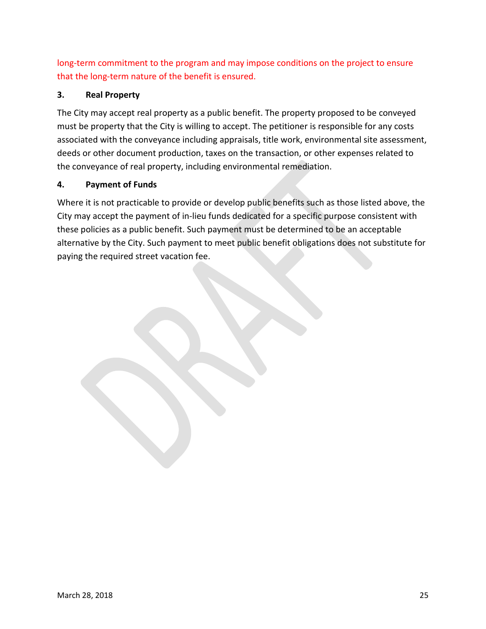long-term commitment to the program and may impose conditions on the project to ensure that the long-term nature of the benefit is ensured.

# **3. Real Property**

The City may accept real property as a public benefit. The property proposed to be conveyed must be property that the City is willing to accept. The petitioner is responsible for any costs associated with the conveyance including appraisals, title work, environmental site assessment, deeds or other document production, taxes on the transaction, or other expenses related to the conveyance of real property, including environmental remediation.

# **4. Payment of Funds**

Where it is not practicable to provide or develop public benefits such as those listed above, the City may accept the payment of in-lieu funds dedicated for a specific purpose consistent with these policies as a public benefit. Such payment must be determined to be an acceptable alternative by the City. Such payment to meet public benefit obligations does not substitute for paying the required street vacation fee.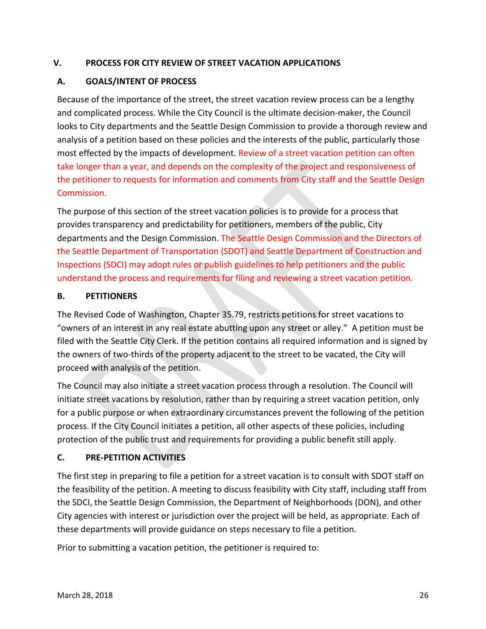# <span id="page-31-0"></span>**V. PROCESS FOR CITY REVIEW OF STREET VACATION APPLICATIONS**

# <span id="page-31-1"></span>**A. GOALS/INTENT OF PROCESS**

Because of the importance of the street, the street vacation review process can be a lengthy and complicated process. While the City Council is the ultimate decision-maker, the Council looks to City departments and the Seattle Design Commission to provide a thorough review and analysis of a petition based on these policies and the interests of the public, particularly those most effected by the impacts of development. Review of a street vacation petition can often take longer than a year, and depends on the complexity of the project and responsiveness of the petitioner to requests for information and comments from City staff and the Seattle Design Commission.

The purpose of this section of the street vacation policies is to provide for a process that provides transparency and predictability for petitioners, members of the public, City departments and the Design Commission. The Seattle Design Commission and the Directors of the Seattle Department of Transportation (SDOT) and Seattle Department of Construction and Inspections (SDCI) may adopt rules or publish guidelines to help petitioners and the public understand the process and requirements for filing and reviewing a street vacation petition.

# <span id="page-31-2"></span>**B. PETITIONERS**

The Revised Code of Washington, Chapter 35.79, restricts petitions for street vacations to "owners of an interest in any real estate abutting upon any street or alley." A petition must be filed with the Seattle City Clerk. If the petition contains all required information and is signed by the owners of two-thirds of the property adjacent to the street to be vacated, the City will proceed with analysis of the petition.

The Council may also initiate a street vacation process through a resolution. The Council will initiate street vacations by resolution, rather than by requiring a street vacation petition, only for a public purpose or when extraordinary circumstances prevent the following of the petition process. If the City Council initiates a petition, all other aspects of these policies, including protection of the public trust and requirements for providing a public benefit still apply.

# <span id="page-31-3"></span>**C. PRE-PETITION ACTIVITIES**

The first step in preparing to file a petition for a street vacation is to consult with SDOT staff on the feasibility of the petition. A meeting to discuss feasibility with City staff, including staff from the SDCI, the Seattle Design Commission, the Department of Neighborhoods (DON), and other City agencies with interest or jurisdiction over the project will be held, as appropriate. Each of these departments will provide guidance on steps necessary to file a petition.

Prior to submitting a vacation petition, the petitioner is required to: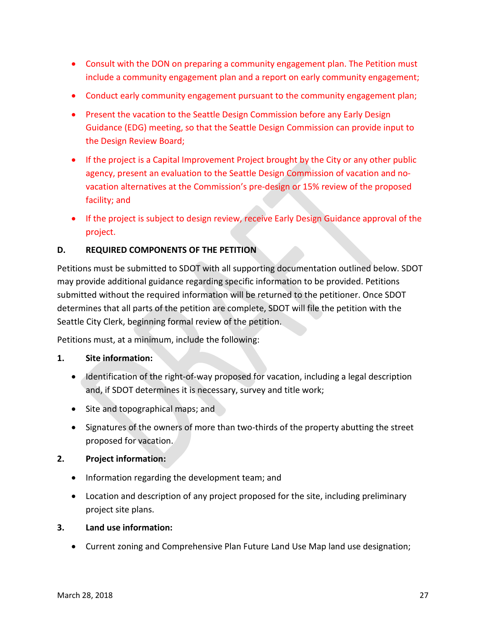- Consult with the DON on preparing a community engagement plan. The Petition must include a community engagement plan and a report on early community engagement;
- Conduct early community engagement pursuant to the community engagement plan;
- Present the vacation to the Seattle Design Commission before any Early Design Guidance (EDG) meeting, so that the Seattle Design Commission can provide input to the Design Review Board;
- If the project is a Capital Improvement Project brought by the City or any other public agency, present an evaluation to the Seattle Design Commission of vacation and novacation alternatives at the Commission's pre-design or 15% review of the proposed facility; and
- If the project is subject to design review, receive Early Design Guidance approval of the project.

#### <span id="page-32-0"></span>**D. REQUIRED COMPONENTS OF THE PETITION**

Petitions must be submitted to SDOT with all supporting documentation outlined below. SDOT may provide additional guidance regarding specific information to be provided. Petitions submitted without the required information will be returned to the petitioner. Once SDOT determines that all parts of the petition are complete, SDOT will file the petition with the Seattle City Clerk, beginning formal review of the petition.

Petitions must, at a minimum, include the following:

#### **1. Site information:**

- Identification of the right-of-way proposed for vacation, including a legal description and, if SDOT determines it is necessary, survey and title work;
- Site and topographical maps; and
- Signatures of the owners of more than two-thirds of the property abutting the street proposed for vacation.

#### **2. Project information:**

- Information regarding the development team; and
- Location and description of any project proposed for the site, including preliminary project site plans.

#### **3. Land use information:**

• Current zoning and Comprehensive Plan Future Land Use Map land use designation;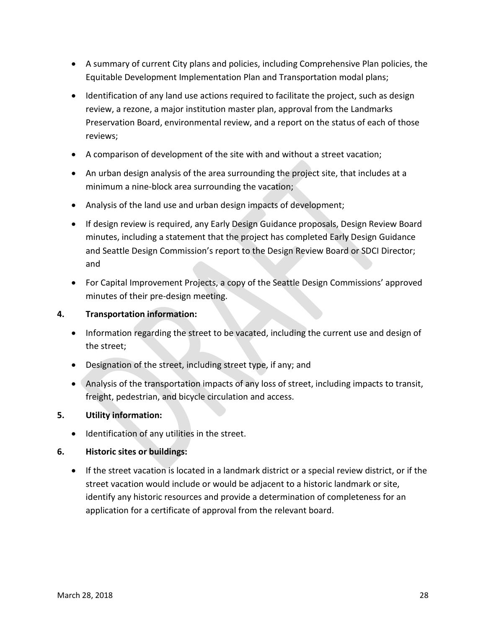- A summary of current City plans and policies, including Comprehensive Plan policies, the Equitable Development Implementation Plan and Transportation modal plans;
- Identification of any land use actions required to facilitate the project, such as design review, a rezone, a major institution master plan, approval from the Landmarks Preservation Board, environmental review, and a report on the status of each of those reviews;
- A comparison of development of the site with and without a street vacation;
- An urban design analysis of the area surrounding the project site, that includes at a minimum a nine-block area surrounding the vacation;
- Analysis of the land use and urban design impacts of development;
- If design review is required, any Early Design Guidance proposals, Design Review Board minutes, including a statement that the project has completed Early Design Guidance and Seattle Design Commission's report to the Design Review Board or SDCI Director; and
- For Capital Improvement Projects, a copy of the Seattle Design Commissions' approved minutes of their pre-design meeting.

# **4. Transportation information:**

- Information regarding the street to be vacated, including the current use and design of the street;
- Designation of the street, including street type, if any; and
- Analysis of the transportation impacts of any loss of street, including impacts to transit, freight, pedestrian, and bicycle circulation and access.

# **5. Utility information:**

• Identification of any utilities in the street.

# **6. Historic sites or buildings:**

• If the street vacation is located in a landmark district or a special review district, or if the street vacation would include or would be adjacent to a historic landmark or site, identify any historic resources and provide a determination of completeness for an application for a certificate of approval from the relevant board.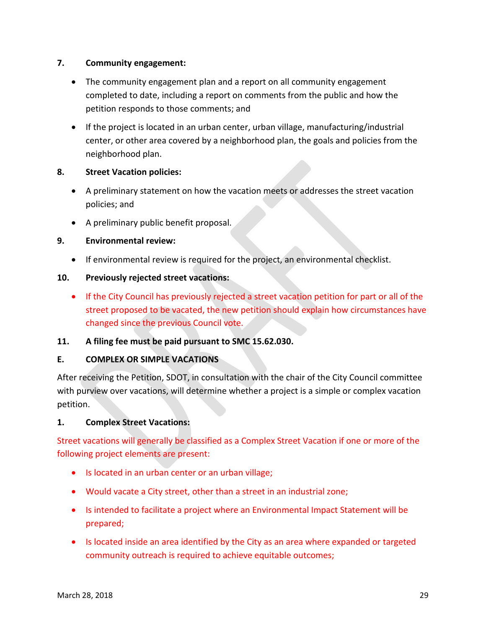#### **7. Community engagement:**

- The community engagement plan and a report on all community engagement completed to date, including a report on comments from the public and how the petition responds to those comments; and
- If the project is located in an urban center, urban village, manufacturing/industrial center, or other area covered by a neighborhood plan, the goals and policies from the neighborhood plan.

#### **8. Street Vacation policies:**

- A preliminary statement on how the vacation meets or addresses the street vacation policies; and
- A preliminary public benefit proposal.

#### **9. Environmental review:**

• If environmental review is required for the project, an environmental checklist.

#### **10. Previously rejected street vacations:**

• If the City Council has previously rejected a street vacation petition for part or all of the street proposed to be vacated, the new petition should explain how circumstances have changed since the previous Council vote.

# **11. A filing fee must be paid pursuant to SMC 15.62.030.**

# <span id="page-34-0"></span>**E. COMPLEX OR SIMPLE VACATIONS**

After receiving the Petition, SDOT, in consultation with the chair of the City Council committee with purview over vacations, will determine whether a project is a simple or complex vacation petition.

#### **1. Complex Street Vacations:**

Street vacations will generally be classified as a Complex Street Vacation if one or more of the following project elements are present:

- Is located in an urban center or an urban village;
- Would vacate a City street, other than a street in an industrial zone;
- Is intended to facilitate a project where an Environmental Impact Statement will be prepared;
- Is located inside an area identified by the City as an area where expanded or targeted community outreach is required to achieve equitable outcomes;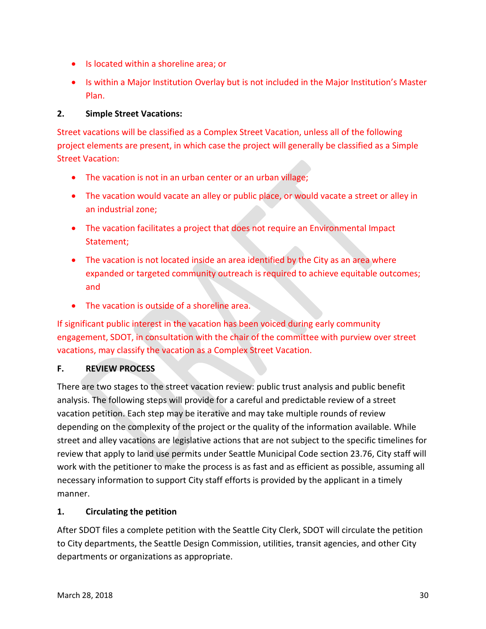- Is located within a shoreline area; or
- Is within a Major Institution Overlay but is not included in the Major Institution's Master Plan.

# **2. Simple Street Vacations:**

Street vacations will be classified as a Complex Street Vacation, unless all of the following project elements are present, in which case the project will generally be classified as a Simple Street Vacation:

- The vacation is not in an urban center or an urban village;
- The vacation would vacate an alley or public place, or would vacate a street or alley in an industrial zone;
- The vacation facilitates a project that does not require an Environmental Impact Statement;
- The vacation is not located inside an area identified by the City as an area where expanded or targeted community outreach is required to achieve equitable outcomes; and
- The vacation is outside of a shoreline area.

If significant public interest in the vacation has been voiced during early community engagement, SDOT, in consultation with the chair of the committee with purview over street vacations, may classify the vacation as a Complex Street Vacation.

# <span id="page-35-0"></span>**F. REVIEW PROCESS**

There are two stages to the street vacation review: public trust analysis and public benefit analysis. The following steps will provide for a careful and predictable review of a street vacation petition. Each step may be iterative and may take multiple rounds of review depending on the complexity of the project or the quality of the information available. While street and alley vacations are legislative actions that are not subject to the specific timelines for review that apply to land use permits under Seattle Municipal Code section 23.76, City staff will work with the petitioner to make the process is as fast and as efficient as possible, assuming all necessary information to support City staff efforts is provided by the applicant in a timely manner.

# **1. Circulating the petition**

After SDOT files a complete petition with the Seattle City Clerk, SDOT will circulate the petition to City departments, the Seattle Design Commission, utilities, transit agencies, and other City departments or organizations as appropriate.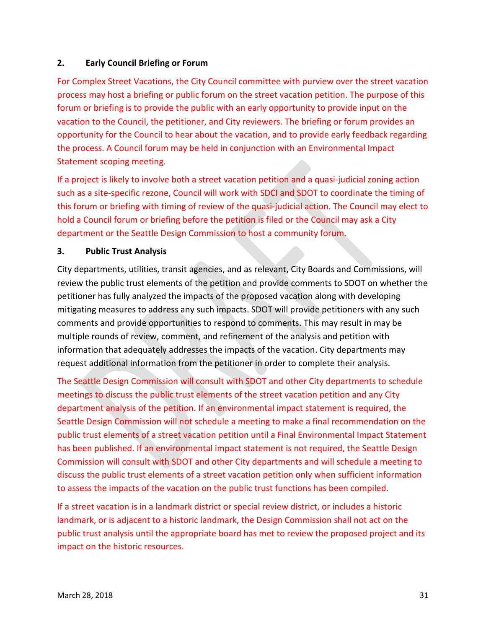# **2. Early Council Briefing or Forum**

For Complex Street Vacations, the City Council committee with purview over the street vacation process may host a briefing or public forum on the street vacation petition. The purpose of this forum or briefing is to provide the public with an early opportunity to provide input on the vacation to the Council, the petitioner, and City reviewers. The briefing or forum provides an opportunity for the Council to hear about the vacation, and to provide early feedback regarding the process. A Council forum may be held in conjunction with an Environmental Impact Statement scoping meeting.

If a project is likely to involve both a street vacation petition and a quasi-judicial zoning action such as a site-specific rezone, Council will work with SDCI and SDOT to coordinate the timing of this forum or briefing with timing of review of the quasi-judicial action. The Council may elect to hold a Council forum or briefing before the petition is filed or the Council may ask a City department or the Seattle Design Commission to host a community forum.

# **3. Public Trust Analysis**

City departments, utilities, transit agencies, and as relevant, City Boards and Commissions, will review the public trust elements of the petition and provide comments to SDOT on whether the petitioner has fully analyzed the impacts of the proposed vacation along with developing mitigating measures to address any such impacts. SDOT will provide petitioners with any such comments and provide opportunities to respond to comments. This may result in may be multiple rounds of review, comment, and refinement of the analysis and petition with information that adequately addresses the impacts of the vacation. City departments may request additional information from the petitioner in order to complete their analysis.

The Seattle Design Commission will consult with SDOT and other City departments to schedule meetings to discuss the public trust elements of the street vacation petition and any City department analysis of the petition. If an environmental impact statement is required, the Seattle Design Commission will not schedule a meeting to make a final recommendation on the public trust elements of a street vacation petition until a Final Environmental Impact Statement has been published. If an environmental impact statement is not required, the Seattle Design Commission will consult with SDOT and other City departments and will schedule a meeting to discuss the public trust elements of a street vacation petition only when sufficient information to assess the impacts of the vacation on the public trust functions has been compiled.

If a street vacation is in a landmark district or special review district, or includes a historic landmark, or is adjacent to a historic landmark, the Design Commission shall not act on the public trust analysis until the appropriate board has met to review the proposed project and its impact on the historic resources.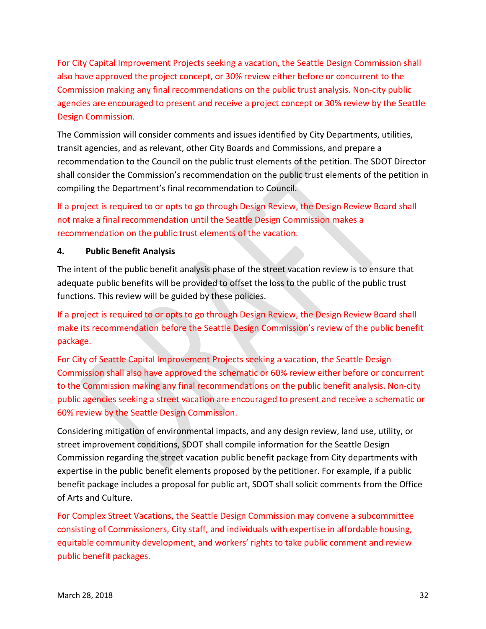For City Capital Improvement Projects seeking a vacation, the Seattle Design Commission shall also have approved the project concept, or 30% review either before or concurrent to the Commission making any final recommendations on the public trust analysis. Non-city public agencies are encouraged to present and receive a project concept or 30% review by the Seattle Design Commission.

The Commission will consider comments and issues identified by City Departments, utilities, transit agencies, and as relevant, other City Boards and Commissions, and prepare a recommendation to the Council on the public trust elements of the petition. The SDOT Director shall consider the Commission's recommendation on the public trust elements of the petition in compiling the Department's final recommendation to Council.

If a project is required to or opts to go through Design Review, the Design Review Board shall not make a final recommendation until the Seattle Design Commission makes a recommendation on the public trust elements of the vacation.

#### **4. Public Benefit Analysis**

The intent of the public benefit analysis phase of the street vacation review is to ensure that adequate public benefits will be provided to offset the loss to the public of the public trust functions. This review will be guided by these policies.

If a project is required to or opts to go through Design Review, the Design Review Board shall make its recommendation before the Seattle Design Commission's review of the public benefit package.

For City of Seattle Capital Improvement Projects seeking a vacation, the Seattle Design Commission shall also have approved the schematic or 60% review either before or concurrent to the Commission making any final recommendations on the public benefit analysis. Non-city public agencies seeking a street vacation are encouraged to present and receive a schematic or 60% review by the Seattle Design Commission.

Considering mitigation of environmental impacts, and any design review, land use, utility, or street improvement conditions, SDOT shall compile information for the Seattle Design Commission regarding the street vacation public benefit package from City departments with expertise in the public benefit elements proposed by the petitioner. For example, if a public benefit package includes a proposal for public art, SDOT shall solicit comments from the Office of Arts and Culture.

For Complex Street Vacations, the Seattle Design Commission may convene a subcommittee consisting of Commissioners, City staff, and individuals with expertise in affordable housing, equitable community development, and workers' rights to take public comment and review public benefit packages.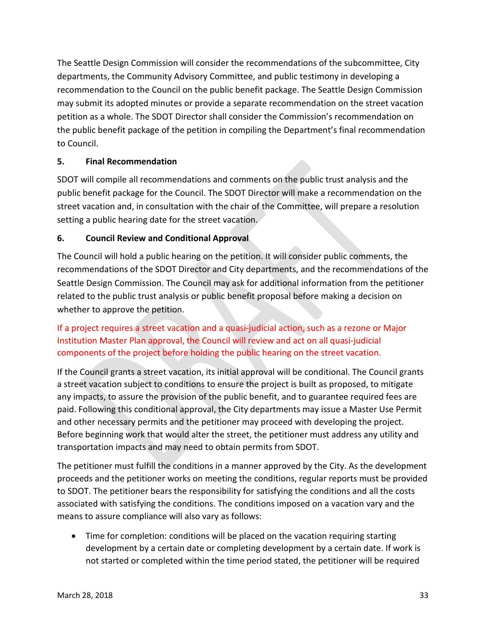The Seattle Design Commission will consider the recommendations of the subcommittee, City departments, the Community Advisory Committee, and public testimony in developing a recommendation to the Council on the public benefit package. The Seattle Design Commission may submit its adopted minutes or provide a separate recommendation on the street vacation petition as a whole. The SDOT Director shall consider the Commission's recommendation on the public benefit package of the petition in compiling the Department's final recommendation to Council.

# **5. Final Recommendation**

SDOT will compile all recommendations and comments on the public trust analysis and the public benefit package for the Council. The SDOT Director will make a recommendation on the street vacation and, in consultation with the chair of the Committee, will prepare a resolution setting a public hearing date for the street vacation.

# **6. Council Review and Conditional Approval**

The Council will hold a public hearing on the petition. It will consider public comments, the recommendations of the SDOT Director and City departments, and the recommendations of the Seattle Design Commission. The Council may ask for additional information from the petitioner related to the public trust analysis or public benefit proposal before making a decision on whether to approve the petition.

If a project requires a street vacation and a quasi-judicial action, such as a rezone or Major Institution Master Plan approval, the Council will review and act on all quasi-judicial components of the project before holding the public hearing on the street vacation.

If the Council grants a street vacation, its initial approval will be conditional. The Council grants a street vacation subject to conditions to ensure the project is built as proposed, to mitigate any impacts, to assure the provision of the public benefit, and to guarantee required fees are paid. Following this conditional approval, the City departments may issue a Master Use Permit and other necessary permits and the petitioner may proceed with developing the project. Before beginning work that would alter the street, the petitioner must address any utility and transportation impacts and may need to obtain permits from SDOT.

The petitioner must fulfill the conditions in a manner approved by the City. As the development proceeds and the petitioner works on meeting the conditions, regular reports must be provided to SDOT. The petitioner bears the responsibility for satisfying the conditions and all the costs associated with satisfying the conditions. The conditions imposed on a vacation vary and the means to assure compliance will also vary as follows:

• Time for completion: conditions will be placed on the vacation requiring starting development by a certain date or completing development by a certain date. If work is not started or completed within the time period stated, the petitioner will be required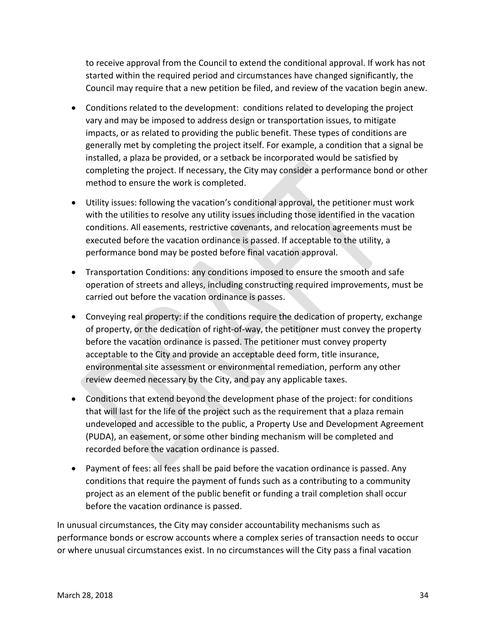to receive approval from the Council to extend the conditional approval. If work has not started within the required period and circumstances have changed significantly, the Council may require that a new petition be filed, and review of the vacation begin anew.

- Conditions related to the development: conditions related to developing the project vary and may be imposed to address design or transportation issues, to mitigate impacts, or as related to providing the public benefit. These types of conditions are generally met by completing the project itself. For example, a condition that a signal be installed, a plaza be provided, or a setback be incorporated would be satisfied by completing the project. If necessary, the City may consider a performance bond or other method to ensure the work is completed.
- Utility issues: following the vacation's conditional approval, the petitioner must work with the utilities to resolve any utility issues including those identified in the vacation conditions. All easements, restrictive covenants, and relocation agreements must be executed before the vacation ordinance is passed. If acceptable to the utility, a performance bond may be posted before final vacation approval.
- Transportation Conditions: any conditions imposed to ensure the smooth and safe operation of streets and alleys, including constructing required improvements, must be carried out before the vacation ordinance is passes.
- Conveying real property: if the conditions require the dedication of property, exchange of property, or the dedication of right-of-way, the petitioner must convey the property before the vacation ordinance is passed. The petitioner must convey property acceptable to the City and provide an acceptable deed form, title insurance, environmental site assessment or environmental remediation, perform any other review deemed necessary by the City, and pay any applicable taxes.
- Conditions that extend beyond the development phase of the project: for conditions that will last for the life of the project such as the requirement that a plaza remain undeveloped and accessible to the public, a Property Use and Development Agreement (PUDA), an easement, or some other binding mechanism will be completed and recorded before the vacation ordinance is passed.
- Payment of fees: all fees shall be paid before the vacation ordinance is passed. Any conditions that require the payment of funds such as a contributing to a community project as an element of the public benefit or funding a trail completion shall occur before the vacation ordinance is passed.

In unusual circumstances, the City may consider accountability mechanisms such as performance bonds or escrow accounts where a complex series of transaction needs to occur or where unusual circumstances exist. In no circumstances will the City pass a final vacation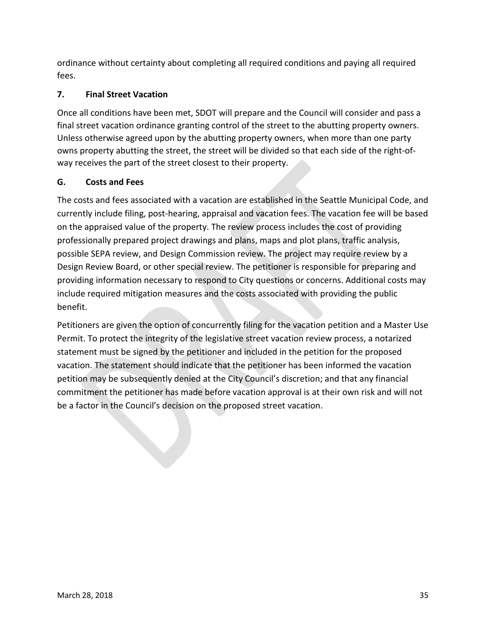ordinance without certainty about completing all required conditions and paying all required fees.

# **7. Final Street Vacation**

Once all conditions have been met, SDOT will prepare and the Council will consider and pass a final street vacation ordinance granting control of the street to the abutting property owners. Unless otherwise agreed upon by the abutting property owners, when more than one party owns property abutting the street, the street will be divided so that each side of the right-ofway receives the part of the street closest to their property.

# <span id="page-40-0"></span>**G. Costs and Fees**

The costs and fees associated with a vacation are established in the Seattle Municipal Code, and currently include filing, post-hearing, appraisal and vacation fees. The vacation fee will be based on the appraised value of the property. The review process includes the cost of providing professionally prepared project drawings and plans, maps and plot plans, traffic analysis, possible SEPA review, and Design Commission review. The project may require review by a Design Review Board, or other special review. The petitioner is responsible for preparing and providing information necessary to respond to City questions or concerns. Additional costs may include required mitigation measures and the costs associated with providing the public benefit.

Petitioners are given the option of concurrently filing for the vacation petition and a Master Use Permit. To protect the integrity of the legislative street vacation review process, a notarized statement must be signed by the petitioner and included in the petition for the proposed vacation. The statement should indicate that the petitioner has been informed the vacation petition may be subsequently denied at the City Council's discretion; and that any financial commitment the petitioner has made before vacation approval is at their own risk and will not be a factor in the Council's decision on the proposed street vacation.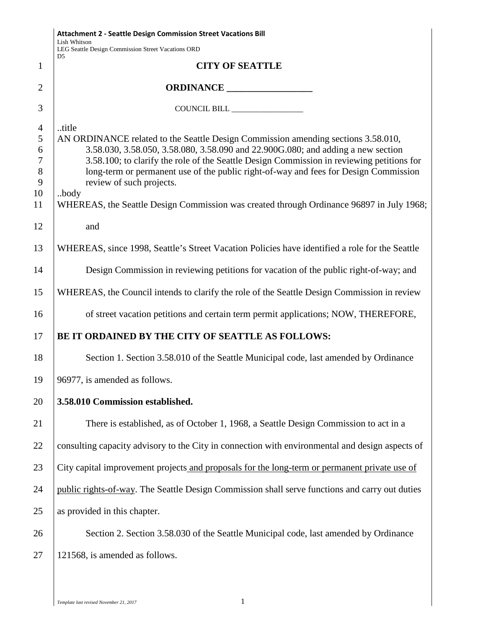|                | Attachment 2 - Seattle Design Commission Street Vacations Bill<br>Lish Whitson                                                                                                |  |
|----------------|-------------------------------------------------------------------------------------------------------------------------------------------------------------------------------|--|
|                | LEG Seattle Design Commission Street Vacations ORD<br>D <sub>5</sub>                                                                                                          |  |
| 1              | <b>CITY OF SEATTLE</b>                                                                                                                                                        |  |
| $\overline{2}$ |                                                                                                                                                                               |  |
| 3              |                                                                                                                                                                               |  |
| $\overline{4}$ | title                                                                                                                                                                         |  |
| 5              | AN ORDINANCE related to the Seattle Design Commission amending sections 3.58.010,                                                                                             |  |
| 6<br>$\tau$    | 3.58.030, 3.58.050, 3.58.080, 3.58.090 and 22.900G.080; and adding a new section<br>3.58.100; to clarify the role of the Seattle Design Commission in reviewing petitions for |  |
| 8              | long-term or permanent use of the public right-of-way and fees for Design Commission                                                                                          |  |
| 9              | review of such projects.                                                                                                                                                      |  |
| 10<br>11       | .body<br>WHEREAS, the Seattle Design Commission was created through Ordinance 96897 in July 1968;                                                                             |  |
|                |                                                                                                                                                                               |  |
| 12             | and                                                                                                                                                                           |  |
| 13             | WHEREAS, since 1998, Seattle's Street Vacation Policies have identified a role for the Seattle                                                                                |  |
| 14             | Design Commission in reviewing petitions for vacation of the public right-of-way; and                                                                                         |  |
| 15             | WHEREAS, the Council intends to clarify the role of the Seattle Design Commission in review                                                                                   |  |
| 16             | of street vacation petitions and certain term permit applications; NOW, THEREFORE,                                                                                            |  |
| 17             | BE IT ORDAINED BY THE CITY OF SEATTLE AS FOLLOWS:                                                                                                                             |  |
| 18             | Section 1. Section 3.58.010 of the Seattle Municipal code, last amended by Ordinance                                                                                          |  |
| 19             | 96977, is amended as follows.                                                                                                                                                 |  |
| 20             | 3.58.010 Commission established.                                                                                                                                              |  |
| 21             | There is established, as of October 1, 1968, a Seattle Design Commission to act in a                                                                                          |  |
| 22             | consulting capacity advisory to the City in connection with environmental and design aspects of                                                                               |  |
| 23             | City capital improvement projects and proposals for the long-term or permanent private use of                                                                                 |  |
| 24             | public rights-of-way. The Seattle Design Commission shall serve functions and carry out duties                                                                                |  |
| 25             | as provided in this chapter.                                                                                                                                                  |  |
| 26             | Section 2. Section 3.58.030 of the Seattle Municipal code, last amended by Ordinance                                                                                          |  |
| 27             | 121568, is amended as follows.                                                                                                                                                |  |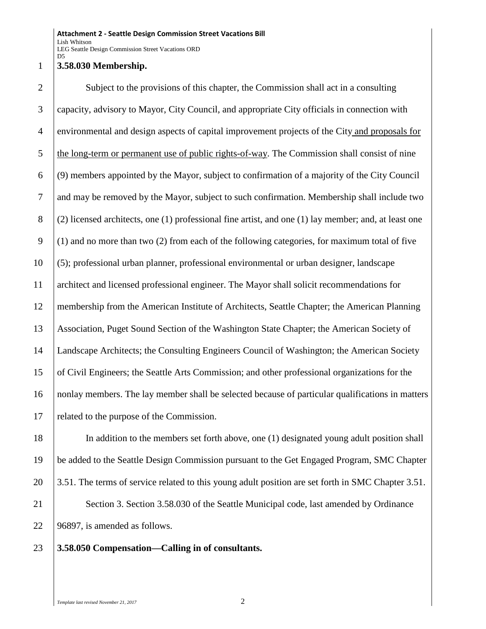#### 1 **3.58.030 Membership.**

 Subject to the provisions of this chapter, the Commission shall act in a consulting capacity, advisory to Mayor, City Council, and appropriate City officials in connection with environmental and design aspects of capital improvement projects of the City and proposals for 5 the long-term or permanent use of public rights-of-way. The Commission shall consist of nine  $\begin{bmatrix} 6 \\ 9 \end{bmatrix}$  (9) members appointed by the Mayor, subject to confirmation of a majority of the City Council and may be removed by the Mayor, subject to such confirmation. Membership shall include two  $(2)$  licensed architects, one (1) professional fine artist, and one (1) lay member; and, at least one 9 (1) and no more than two (2) from each of the following categories, for maximum total of five (5); professional urban planner, professional environmental or urban designer, landscape architect and licensed professional engineer. The Mayor shall solicit recommendations for membership from the American Institute of Architects, Seattle Chapter; the American Planning Association, Puget Sound Section of the Washington State Chapter; the American Society of Landscape Architects; the Consulting Engineers Council of Washington; the American Society of Civil Engineers; the Seattle Arts Commission; and other professional organizations for the nonlay members. The lay member shall be selected because of particular qualifications in matters 17 | related to the purpose of the Commission.

18 In addition to the members set forth above, one (1) designated young adult position shall 19 be added to the Seattle Design Commission pursuant to the Get Engaged Program, SMC Chapter 20 3.51. The terms of service related to this young adult position are set forth in SMC Chapter 3.51. 21 Section 3. Section 3.58.030 of the Seattle Municipal code, last amended by Ordinance 22 96897, is amended as follows.

#### 23 **3.58.050 Compensation—Calling in of consultants.**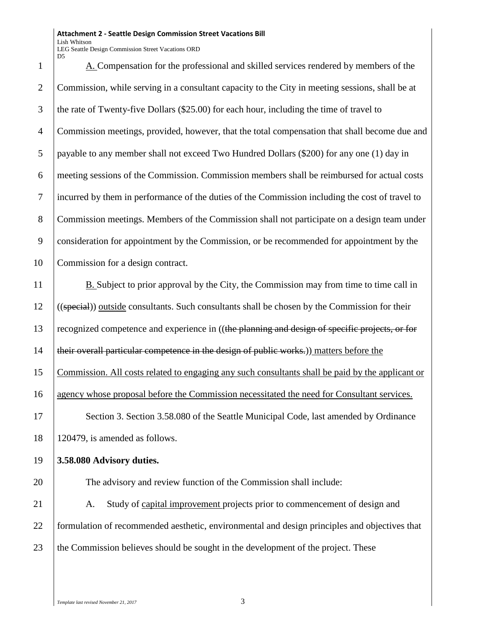**Attachment 2 - Seattle Design Commission Street Vacations Bill** Lish Whitson

LEG Seattle Design Commission Street Vacations ORD D<sub>5</sub>

 A. Compensation for the professional and skilled services rendered by members of the Commission, while serving in a consultant capacity to the City in meeting sessions, shall be at the rate of Twenty-five Dollars (\$25.00) for each hour, including the time of travel to Commission meetings, provided, however, that the total compensation that shall become due and payable to any member shall not exceed Two Hundred Dollars (\$200) for any one (1) day in meeting sessions of the Commission. Commission members shall be reimbursed for actual costs incurred by them in performance of the duties of the Commission including the cost of travel to 8 Commission meetings. Members of the Commission shall not participate on a design team under consideration for appointment by the Commission, or be recommended for appointment by the 10 Commission for a design contract. B. Subject to prior approval by the City, the Commission may from time to time call in

 $12$  ((special)) outside consultants. Such consultants shall be chosen by the Commission for their 13 recognized competence and experience in ((the planning and design of specific projects, or for 14 their overall particular competence in the design of public works.) matters before the 15 Commission. All costs related to engaging any such consultants shall be paid by the applicant or 16 agency whose proposal before the Commission necessitated the need for Consultant services. 17 Section 3. Section 3.58.080 of the Seattle Municipal Code, last amended by Ordinance 18 120479, is amended as follows.

19 **3.58.080 Advisory duties.** 

20 The advisory and review function of the Commission shall include:

21 A. Study of capital improvement projects prior to commencement of design and 22 formulation of recommended aesthetic, environmental and design principles and objectives that 23 the Commission believes should be sought in the development of the project. These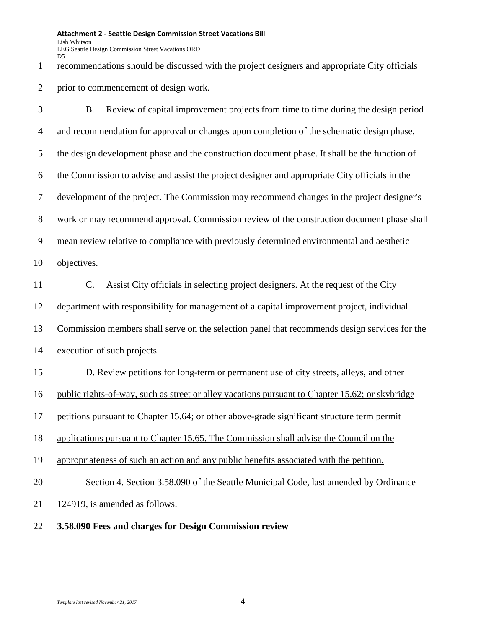recommendations should be discussed with the project designers and appropriate City officials

prior to commencement of design work.

 B. Review of capital improvement projects from time to time during the design period 4 and recommendation for approval or changes upon completion of the schematic design phase, 5 the design development phase and the construction document phase. It shall be the function of the Commission to advise and assist the project designer and appropriate City officials in the development of the project. The Commission may recommend changes in the project designer's 8 work or may recommend approval. Commission review of the construction document phase shall mean review relative to compliance with previously determined environmental and aesthetic

10 objectives.

 C. Assist City officials in selecting project designers. At the request of the City department with responsibility for management of a capital improvement project, individual Commission members shall serve on the selection panel that recommends design services for the execution of such projects.

 D. Review petitions for long-term or permanent use of city streets, alleys, and other public rights-of-way, such as street or alley vacations pursuant to Chapter 15.62; or skybridge petitions pursuant to Chapter 15.64; or other above-grade significant structure term permit applications pursuant to Chapter 15.65. The Commission shall advise the Council on the appropriateness of such an action and any public benefits associated with the petition. 20 Section 4. Section 3.58.090 of the Seattle Municipal Code, last amended by Ordinance

124919, is amended as follows.

**3.58.090 Fees and charges for Design Commission review**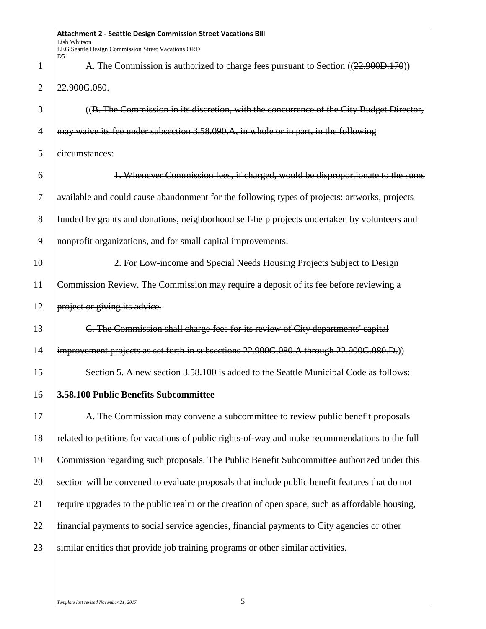|                | Attachment 2 - Seattle Design Commission Street Vacations Bill<br>Lish Whitson<br>LEG Seattle Design Commission Street Vacations ORD |
|----------------|--------------------------------------------------------------------------------------------------------------------------------------|
| $\mathbf 1$    | D <sub>5</sub><br>A. The Commission is authorized to charge fees pursuant to Section ((22.900D.170))                                 |
| $\overline{2}$ | 22.900G.080.                                                                                                                         |
| 3              | ((B. The Commission in its discretion, with the concurrence of the City Budget Director,                                             |
| 4              | may waive its fee under subsection 3.58.090.A, in whole or in part, in the following                                                 |
| 5              | circumstances:                                                                                                                       |
| 6              | 1. Whenever Commission fees, if charged, would be disproportionate to the sums                                                       |
| 7              | available and could cause abandonment for the following types of projects: artworks, projects                                        |
| 8              | funded by grants and donations, neighborhood self-help projects undertaken by volunteers and                                         |
| 9              | nonprofit organizations, and for small capital improvements.                                                                         |
| 10             | 2. For Low income and Special Needs Housing Projects Subject to Design                                                               |
| 11             | Commission Review. The Commission may require a deposit of its fee before reviewing a                                                |
| 12             | project or giving its advice.                                                                                                        |
| 13             | C. The Commission shall charge fees for its review of City departments' capital                                                      |
| 14             | improvement projects as set forth in subsections 22.900G.080.A through 22.900G.080.D.))                                              |
| 15             | Section 5. A new section 3.58.100 is added to the Seattle Municipal Code as follows:                                                 |
| 16             | 3.58.100 Public Benefits Subcommittee                                                                                                |
| 17             | A. The Commission may convene a subcommittee to review public benefit proposals                                                      |
| 18             | related to petitions for vacations of public rights-of-way and make recommendations to the full                                      |
| 19             | Commission regarding such proposals. The Public Benefit Subcommittee authorized under this                                           |
| 20             | section will be convened to evaluate proposals that include public benefit features that do not                                      |
| 21             | require upgrades to the public realm or the creation of open space, such as affordable housing,                                      |
| 22             | financial payments to social service agencies, financial payments to City agencies or other                                          |
| 23             | similar entities that provide job training programs or other similar activities.                                                     |
|                |                                                                                                                                      |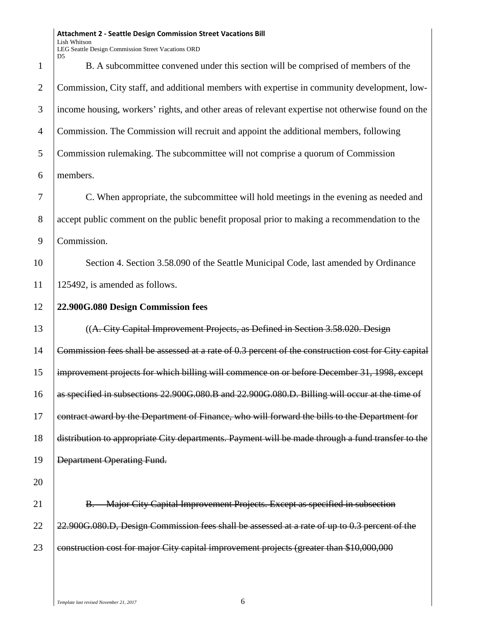B. A subcommittee convened under this section will be comprised of members of the Commission, City staff, and additional members with expertise in community development, low- income housing, workers' rights, and other areas of relevant expertise not otherwise found on the Commission. The Commission will recruit and appoint the additional members, following Commission rulemaking. The subcommittee will not comprise a quorum of Commission members. C. When appropriate, the subcommittee will hold meetings in the evening as needed and accept public comment on the public benefit proposal prior to making a recommendation to the Commission. 10 Section 4. Section 3.58.090 of the Seattle Municipal Code, last amended by Ordinance 125492, is amended as follows. **22.900G.080 Design Commission fees**  ((A. City Capital Improvement Projects, as Defined in Section 3.58.020. Design 14 Commission fees shall be assessed at a rate of 0.3 percent of the construction cost for City capital improvement projects for which billing will commence on or before December 31, 1998, except 16 as specified in subsections 22.900G.080.B and 22.900G.080.D. Billing will occur at the time of 17 Contract award by the Department of Finance, who will forward the bills to the Department for distribution to appropriate City departments. Payment will be made through a fund transfer to the Department Operating Fund. 21 B. Major City Capital Improvement Projects. Except as specified in subsection 22 22.900G.080.D, Design Commission fees shall be assessed at a rate of up to 0.3 percent of the **construction cost for major City capital improvement projects (greater than \$10,000,000**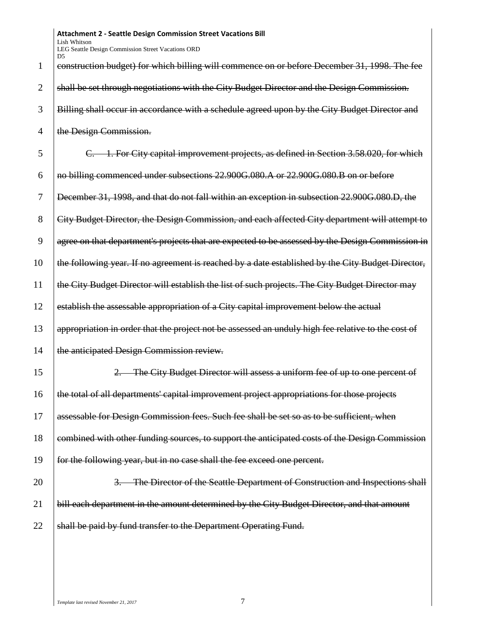**Attachment 2 - Seattle Design Commission Street Vacations Bill** Lish Whitson LEG Seattle Design Commission Street Vacations ORD D<sub>5</sub>

1 construction budget) for which billing will commence on or before December 31, 1998. The fee 2 shall be set through negotiations with the City Budget Director and the Design Commission. 3 **Billing shall occur in accordance with a schedule agreed upon by the City Budget Director and** 4 the Design Commission. 5 C. 1. For City capital improvement projects, as defined in Section 3.58.020, for which 6 no billing commenced under subsections 22.900G.080.A or 22.900G.080.B on or before 7 December 31, 1998, and that do not fall within an exception in subsection 22.900G.080.D, the 8 City Budget Director, the Design Commission, and each affected City department will attempt to 9 agree on that department's projects that are expected to be assessed by the Design Commission in 10 the following year. If no agreement is reached by a date established by the City Budget Director, 11 the City Budget Director will establish the list of such projects. The City Budget Director may 12 establish the assessable appropriation of a City capital improvement below the actual 13 appropriation in order that the project not be assessed an unduly high fee relative to the cost of 14 | the anticipated Design Commission review. 15 15 2. The City Budget Director will assess a uniform fee of up to one percent of 16 the total of all departments' capital improvement project appropriations for those projects 17 assessable for Design Commission fees. Such fee shall be set so as to be sufficient, when 18 combined with other funding sources, to support the anticipated costs of the Design Commission 19 for the following year, but in no case shall the fee exceed one percent. 20 | 3. The Director of the Seattle Department of Construction and Inspections shall 21 **bill each department in the amount determined by the City Budget Director, and that amount**  $22$  shall be paid by fund transfer to the Department Operating Fund.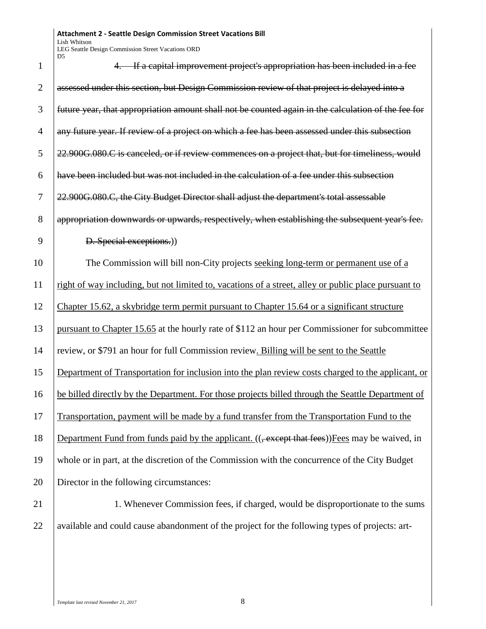| $\mathbf{1}$   | ມມ<br>If a capital improvement project's appropriation has been included in a fee<br>$4-$            |
|----------------|------------------------------------------------------------------------------------------------------|
| $\overline{2}$ | assessed under this section, but Design Commission review of that project is delayed into a          |
| 3              | future year, that appropriation amount shall not be counted again in the calculation of the fee for  |
| $\overline{4}$ | any future year. If review of a project on which a fee has been assessed under this subsection       |
| 5              | 22.900G.080.C is canceled, or if review commences on a project that, but for timeliness, would       |
| 6              | have been included but was not included in the calculation of a fee under this subsection            |
| 7              | 22.900G.080.C, the City Budget Director shall adjust the department's total assessable               |
| 8              | appropriation downwards or upwards, respectively, when establishing the subsequent year's fee.       |
| 9              | D. Special exceptions.)                                                                              |
| 10             | The Commission will bill non-City projects seeking long-term or permanent use of a                   |
| 11             | right of way including, but not limited to, vacations of a street, alley or public place pursuant to |
| 12             | Chapter 15.62, a skybridge term permit pursuant to Chapter 15.64 or a significant structure          |
| 13             | pursuant to Chapter 15.65 at the hourly rate of \$112 an hour per Commissioner for subcommittee      |
| 14             | review, or \$791 an hour for full Commission review. Billing will be sent to the Seattle             |
| 15             | Department of Transportation for inclusion into the plan review costs charged to the applicant, or   |
| 16             | be billed directly by the Department. For those projects billed through the Seattle Department of    |
| 17             | Transportation, payment will be made by a fund transfer from the Transportation Fund to the          |
| 18             | Department Fund from funds paid by the applicant. ((, except that fees)) Fees may be waived, in      |
| 19             | whole or in part, at the discretion of the Commission with the concurrence of the City Budget        |
| 20             | Director in the following circumstances:                                                             |
|                |                                                                                                      |

21 1. Whenever Commission fees, if charged, would be disproportionate to the sums 22 available and could cause abandonment of the project for the following types of projects: art-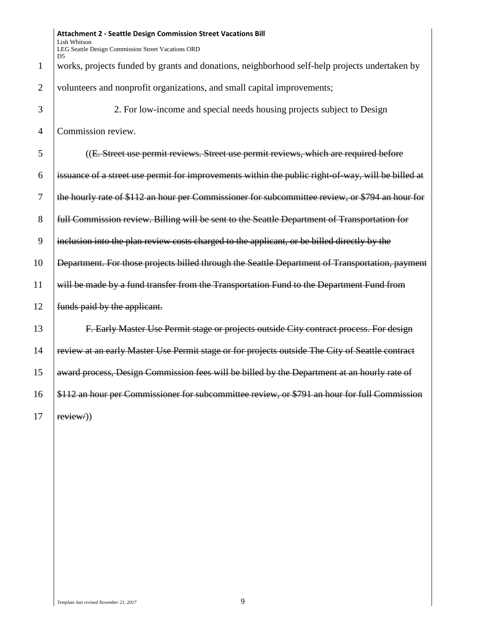works, projects funded by grants and donations, neighborhood self-help projects undertaken by 2 volunteers and nonprofit organizations, and small capital improvements; 2. For low-income and special needs housing projects subject to Design Commission review. ((E. Street use permit reviews. Street use permit reviews, which are required before issuance of a street use permit for improvements within the public right-of-way, will be billed at the hourly rate of \$112 an hour per Commissioner for subcommittee review, or \$794 an hour for full Commission review. Billing will be sent to the Seattle Department of Transportation for 9 inclusion into the plan review costs charged to the applicant, or be billed directly by the **Department.** For those projects billed through the Seattle Department of Transportation, payment 11 will be made by a fund transfer from the Transportation Fund to the Department Fund from 12 | funds paid by the applicant. F. Early Master Use Permit stage or projects outside City contract process. For design 14 Feview at an early Master Use Permit stage or for projects outside The City of Seattle contract award process, Design Commission fees will be billed by the Department at an hourly rate of

16 \$112 an hour per Commissioner for subcommittee review, or \$791 an hour for full Commission

 $17$  review $\sqrt{}$ )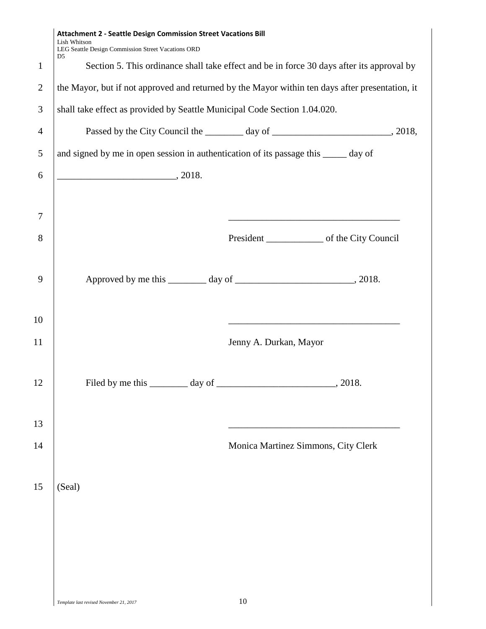|                | Attachment 2 - Seattle Design Commission Street Vacations Bill<br><b>Lish Whitson</b><br>LEG Seattle Design Commission Street Vacations ORD |                                                                                                 |
|----------------|---------------------------------------------------------------------------------------------------------------------------------------------|-------------------------------------------------------------------------------------------------|
| $\mathbf{1}$   | D <sub>5</sub>                                                                                                                              | Section 5. This ordinance shall take effect and be in force 30 days after its approval by       |
| $\overline{2}$ |                                                                                                                                             | the Mayor, but if not approved and returned by the Mayor within ten days after presentation, it |
| 3              | shall take effect as provided by Seattle Municipal Code Section 1.04.020.                                                                   |                                                                                                 |
| 4              |                                                                                                                                             |                                                                                                 |
|                |                                                                                                                                             |                                                                                                 |
| 5              | and signed by me in open session in authentication of its passage this _____ day of                                                         |                                                                                                 |
| 6              | , 2018.                                                                                                                                     |                                                                                                 |
|                |                                                                                                                                             |                                                                                                 |
| 7              |                                                                                                                                             |                                                                                                 |
| 8              |                                                                                                                                             |                                                                                                 |
| 9              |                                                                                                                                             |                                                                                                 |
| 10             |                                                                                                                                             |                                                                                                 |
| 11             |                                                                                                                                             | Jenny A. Durkan, Mayor                                                                          |
| 12             |                                                                                                                                             | 2018.                                                                                           |
| 13             |                                                                                                                                             |                                                                                                 |
| 14             |                                                                                                                                             | Monica Martinez Simmons, City Clerk                                                             |
| 15             | (Seal)                                                                                                                                      |                                                                                                 |
|                |                                                                                                                                             |                                                                                                 |
|                |                                                                                                                                             |                                                                                                 |
|                |                                                                                                                                             |                                                                                                 |
|                |                                                                                                                                             |                                                                                                 |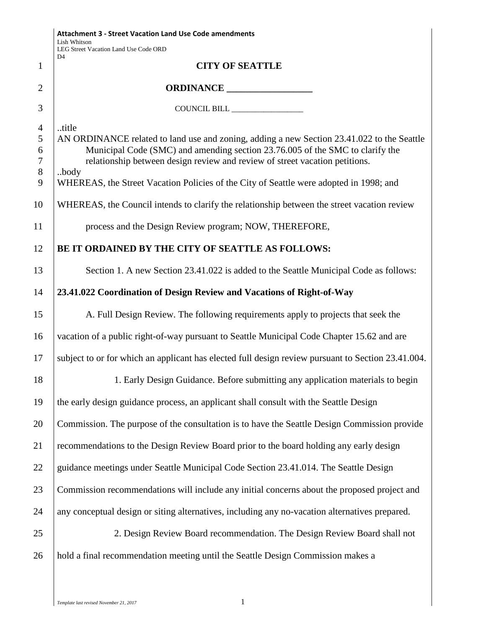|                            | <b>Attachment 3 - Street Vacation Land Use Code amendments</b><br><b>Lish Whitson</b>                                                                                                                                                                      |  |
|----------------------------|------------------------------------------------------------------------------------------------------------------------------------------------------------------------------------------------------------------------------------------------------------|--|
|                            | LEG Street Vacation Land Use Code ORD<br>D <sub>4</sub>                                                                                                                                                                                                    |  |
| $\mathbf{1}$               | <b>CITY OF SEATTLE</b>                                                                                                                                                                                                                                     |  |
| $\overline{2}$             |                                                                                                                                                                                                                                                            |  |
| 3                          |                                                                                                                                                                                                                                                            |  |
| $\overline{4}$             | title                                                                                                                                                                                                                                                      |  |
| 5<br>6<br>$\boldsymbol{7}$ | AN ORDINANCE related to land use and zoning, adding a new Section 23.41.022 to the Seattle<br>Municipal Code (SMC) and amending section 23.76.005 of the SMC to clarify the<br>relationship between design review and review of street vacation petitions. |  |
| $8\,$<br>9                 | body<br>WHEREAS, the Street Vacation Policies of the City of Seattle were adopted in 1998; and                                                                                                                                                             |  |
| 10                         | WHEREAS, the Council intends to clarify the relationship between the street vacation review                                                                                                                                                                |  |
| 11                         | process and the Design Review program; NOW, THEREFORE,                                                                                                                                                                                                     |  |
| 12                         | BE IT ORDAINED BY THE CITY OF SEATTLE AS FOLLOWS:                                                                                                                                                                                                          |  |
| 13                         | Section 1. A new Section 23.41.022 is added to the Seattle Municipal Code as follows:                                                                                                                                                                      |  |
| 14                         | 23.41.022 Coordination of Design Review and Vacations of Right-of-Way                                                                                                                                                                                      |  |
| 15                         | A. Full Design Review. The following requirements apply to projects that seek the                                                                                                                                                                          |  |
| 16                         | vacation of a public right-of-way pursuant to Seattle Municipal Code Chapter 15.62 and are                                                                                                                                                                 |  |
| 17                         | subject to or for which an applicant has elected full design review pursuant to Section 23.41.004.                                                                                                                                                         |  |
| 18                         | 1. Early Design Guidance. Before submitting any application materials to begin                                                                                                                                                                             |  |
| 19                         | the early design guidance process, an applicant shall consult with the Seattle Design                                                                                                                                                                      |  |
| 20                         | Commission. The purpose of the consultation is to have the Seattle Design Commission provide                                                                                                                                                               |  |
| 21                         | recommendations to the Design Review Board prior to the board holding any early design                                                                                                                                                                     |  |
| 22                         | guidance meetings under Seattle Municipal Code Section 23.41.014. The Seattle Design                                                                                                                                                                       |  |
| 23                         | Commission recommendations will include any initial concerns about the proposed project and                                                                                                                                                                |  |
| 24                         | any conceptual design or siting alternatives, including any no-vacation alternatives prepared.                                                                                                                                                             |  |
| 25                         | 2. Design Review Board recommendation. The Design Review Board shall not                                                                                                                                                                                   |  |
| 26                         | hold a final recommendation meeting until the Seattle Design Commission makes a                                                                                                                                                                            |  |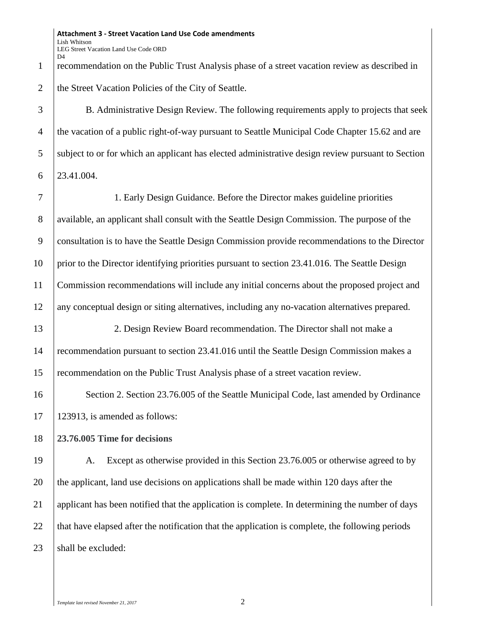1 recommendation on the Public Trust Analysis phase of a street vacation review as described in 2 the Street Vacation Policies of the City of Seattle.

3 B. Administrative Design Review. The following requirements apply to projects that seek <sup>4</sup> the vacation of a public right-of-way pursuant to Seattle Municipal Code Chapter 15.62 and are 5 subject to or for which an applicant has elected administrative design review pursuant to Section  $6 \quad 23.41.004.$ 

7 1. Early Design Guidance. Before the Director makes guideline priorities 8 available, an applicant shall consult with the Seattle Design Commission. The purpose of the 9 consultation is to have the Seattle Design Commission provide recommendations to the Director 10 prior to the Director identifying priorities pursuant to section 23.41.016. The Seattle Design 11 Commission recommendations will include any initial concerns about the proposed project and 12 any conceptual design or siting alternatives, including any no-vacation alternatives prepared. 13 13 2. Design Review Board recommendation. The Director shall not make a

14 recommendation pursuant to section 23.41.016 until the Seattle Design Commission makes a 15 recommendation on the Public Trust Analysis phase of a street vacation review.

16 Section 2. Section 23.76.005 of the Seattle Municipal Code, last amended by Ordinance 17 123913, is amended as follows:

18 **23.76.005 Time for decisions**

19 A. Except as otherwise provided in this Section 23.76.005 or otherwise agreed to by 20 the applicant, land use decisions on applications shall be made within 120 days after the 21 applicant has been notified that the application is complete. In determining the number of days 22 that have elapsed after the notification that the application is complete, the following periods 23 shall be excluded: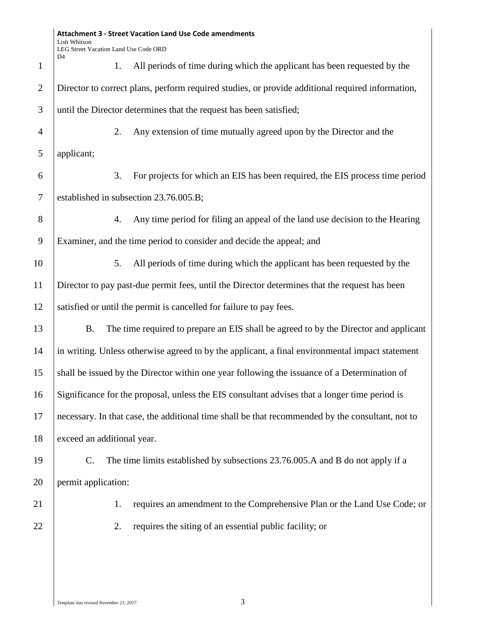|                | <b>Attachment 3 - Street Vacation Land Use Code amendments</b><br>Lish Whitson                    |  |
|----------------|---------------------------------------------------------------------------------------------------|--|
|                | LEG Street Vacation Land Use Code ORD<br>D <sub>4</sub>                                           |  |
| $\mathbf{1}$   | All periods of time during which the applicant has been requested by the<br>1.                    |  |
| $\overline{2}$ | Director to correct plans, perform required studies, or provide additional required information,  |  |
| 3              | until the Director determines that the request has been satisfied;                                |  |
| $\overline{4}$ | 2.<br>Any extension of time mutually agreed upon by the Director and the                          |  |
| 5              | applicant;                                                                                        |  |
| 6              | 3.<br>For projects for which an EIS has been required, the EIS process time period                |  |
| 7              | established in subsection 23.76.005.B;                                                            |  |
| 8              | Any time period for filing an appeal of the land use decision to the Hearing<br>4.                |  |
| 9              | Examiner, and the time period to consider and decide the appeal; and                              |  |
| 10             | 5.<br>All periods of time during which the applicant has been requested by the                    |  |
| 11             | Director to pay past-due permit fees, until the Director determines that the request has been     |  |
| 12             | satisfied or until the permit is cancelled for failure to pay fees.                               |  |
| 13             | The time required to prepare an EIS shall be agreed to by the Director and applicant<br><b>B.</b> |  |
| 14             | in writing. Unless otherwise agreed to by the applicant, a final environmental impact statement   |  |
| 15             | shall be issued by the Director within one year following the issuance of a Determination of      |  |
| 16             | Significance for the proposal, unless the EIS consultant advises that a longer time period is     |  |
| 17             | necessary. In that case, the additional time shall be that recommended by the consultant, not to  |  |
| 18             | exceed an additional year.                                                                        |  |
| 19             | The time limits established by subsections 23.76.005.A and B do not apply if a<br>C.              |  |
| 20             | permit application:                                                                               |  |
| 21             | requires an amendment to the Comprehensive Plan or the Land Use Code; or<br>1.                    |  |
| 22             | requires the siting of an essential public facility; or<br>2.                                     |  |
|                |                                                                                                   |  |
|                |                                                                                                   |  |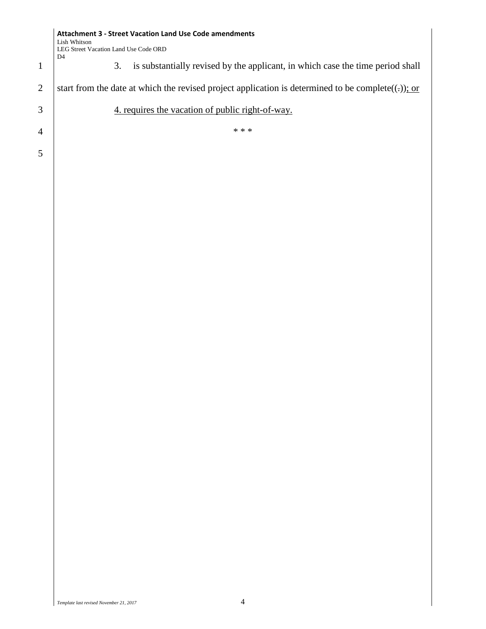|                | <b>Attachment 3 - Street Vacation Land Use Code amendments</b><br>Lish Whitson                             |
|----------------|------------------------------------------------------------------------------------------------------------|
|                | LEG Street Vacation Land Use Code ORD<br>D <sub>4</sub>                                                    |
| $\mathbf{1}$   | is substantially revised by the applicant, in which case the time period shall<br>3.                       |
| $\overline{2}$ | start from the date at which the revised project application is determined to be complete( $(\cdot)$ ); or |
| 3              | 4. requires the vacation of public right-of-way.                                                           |
| $\overline{4}$ | * * *                                                                                                      |
| 5              |                                                                                                            |
|                |                                                                                                            |
|                |                                                                                                            |
|                |                                                                                                            |
|                |                                                                                                            |
|                |                                                                                                            |
|                |                                                                                                            |